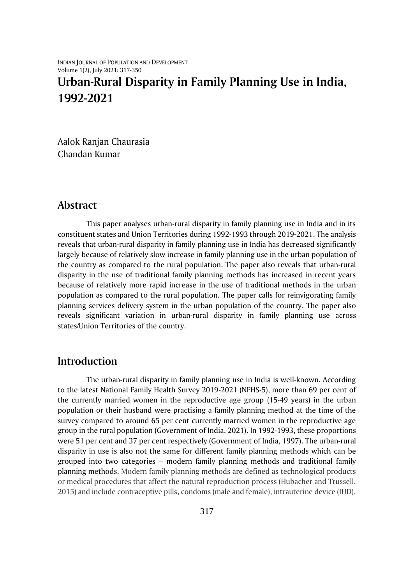INDIAN JOURNAL OF POPULATION AND DEVELOPMENT Volume 1(2), July 2021: 317-350

# **Urban-Rural Disparity in Family Planning Use in India, 1992-2021**

Aalok Ranjan Chaurasia Chandan Kumar

### **Abstract**

This paper analyses urban-rural disparity in family planning use in India and in its constituent states and Union Territories during 1992-1993 through 2019-2021. The analysis reveals that urban-rural disparity in family planning use in India has decreased significantly largely because of relatively slow increase in family planning use in the urban population of the country as compared to the rural population. The paper also reveals that urban-rural disparity in the use of traditional family planning methods has increased in recent years because of relatively more rapid increase in the use of traditional methods in the urban population as compared to the rural population. The paper calls for reinvigorating family planning services delivery system in the urban population of the country. The paper also reveals significant variation in urban-rural disparity in family planning use across states/Union Territories of the country.

# **Introduction**

The urban-rural disparity in family planning use in India is well-known. According to the latest National Family Health Survey 2019-2021 (NFHS-5), more than 69 per cent of the currently married women in the reproductive age group (15-49 years) in the urban population or their husband were practising a family planning method at the time of the survey compared to around 65 per cent currently married women in the reproductive age group in the rural population (Government of India, 2021). In 1992-1993, these proportions were 51 per cent and 37 per cent respectively (Government of India, 1997). The urban-rural disparity in use is also not the same for different family planning methods which can be grouped into two categories – modern family planning methods and traditional family planning methods. Modern family planning methods are defined as technological products or medical procedures that affect the natural reproduction process (Hubacher and Trussell, 2015) and include contraceptive pills, condoms (male and female), intrauterine device (IUD),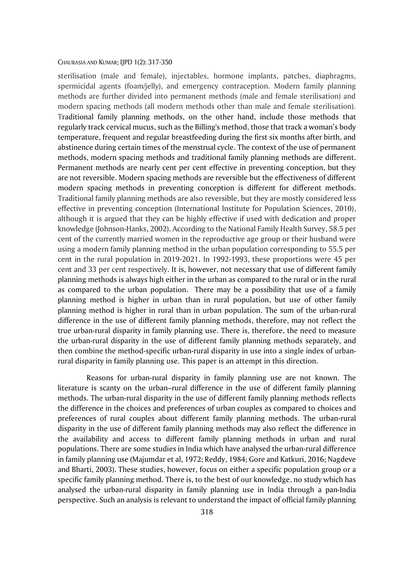sterilisation (male and female), injectables, hormone implants, patches, diaphragms, spermicidal agents (foam/jelly), and emergency contraception. Modern family planning methods are further divided into permanent methods (male and female sterilisation) and modern spacing methods (all modern methods other than male and female sterilisation). Traditional family planning methods, on the other hand, include those methods that regularly track cervical mucus, such as the Billing's method, those that track a woman's body temperature, frequent and regular breastfeeding during the first six months after birth, and abstinence during certain times of the menstrual cycle. The context of the use of permanent methods, modern spacing methods and traditional family planning methods are different. Permanent methods are nearly cent per cent effective in preventing conception, but they are not reversible. Modern spacing methods are reversible but the effectiveness of different modern spacing methods in preventing conception is different for different methods. Traditional family planning methods are also reversible, but they are mostly considered less effective in preventing conception (International Institute for Population Sciences, 2010), although it is argued that they can be highly effective if used with dedication and proper knowledge (Johnson-Hanks, 2002). According to the National Family Health Survey, 58.5 per cent of the currently married women in the reproductive age group or their husband were using a modern family planning method in the urban population corresponding to 55.5 per cent in the rural population in 2019-2021. In 1992-1993, these proportions were 45 per cent and 33 per cent respectively. It is, however, not necessary that use of different family planning methods is always high either in the urban as compared to the rural or in the rural as compared to the urban population. There may be a possibility that use of a family planning method is higher in urban than in rural population, but use of other family planning method is higher in rural than in urban population. The sum of the urban-rural difference in the use of different family planning methods, therefore, may not reflect the true urban-rural disparity in family planning use. There is, therefore, the need to measure the urban-rural disparity in the use of different family planning methods separately, and then combine the method-specific urban-rural disparity in use into a single index of urbanrural disparity in family planning use. This paper is an attempt in this direction.

Reasons for urban-rural disparity in family planning use are not known. The literature is scanty on the urban–rural difference in the use of different family planning methods. The urban-rural disparity in the use of different family planning methods reflects the difference in the choices and preferences of urban couples as compared to choices and preferences of rural couples about different family planning methods. The urban-rural disparity in the use of different family planning methods may also reflect the difference in the availability and access to different family planning methods in urban and rural populations. There are some studies in India which have analysed the urban-rural difference in family planning use (Majumdar et al, 1972; Reddy, 1984; Gore and Katkuri, 2016; Nagdeve and Bharti, 2003). These studies, however, focus on either a specific population group or a specific family planning method. There is, to the best of our knowledge, no study which has analysed the urban-rural disparity in family planning use in India through a pan-India perspective. Such an analysis is relevant to understand the impact of official family planning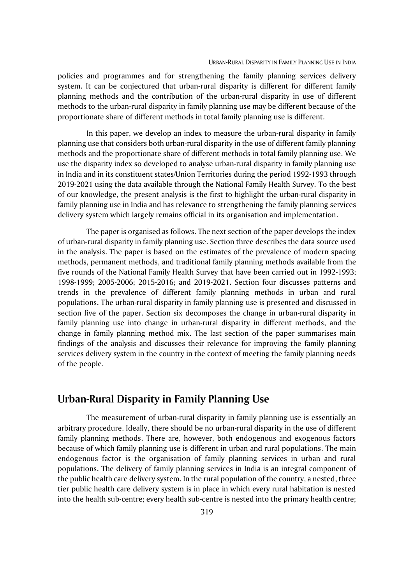policies and programmes and for strengthening the family planning services delivery system. It can be conjectured that urban-rural disparity is different for different family planning methods and the contribution of the urban-rural disparity in use of different methods to the urban-rural disparity in family planning use may be different because of the proportionate share of different methods in total family planning use is different.

In this paper, we develop an index to measure the urban-rural disparity in family planning use that considers both urban-rural disparity in the use of different family planning methods and the proportionate share of different methods in total family planning use. We use the disparity index so developed to analyse urban-rural disparity in family planning use in India and in its constituent states/Union Territories during the period 1992-1993 through 2019-2021 using the data available through the National Family Health Survey. To the best of our knowledge, the present analysis is the first to highlight the urban-rural disparity in family planning use in India and has relevance to strengthening the family planning services delivery system which largely remains official in its organisation and implementation.

The paper is organised as follows. The next section of the paper develops the index of urban-rural disparity in family planning use. Section three describes the data source used in the analysis. The paper is based on the estimates of the prevalence of modern spacing methods, permanent methods, and traditional family planning methods available from the five rounds of the National Family Health Survey that have been carried out in 1992-1993; 1998-1999; 2005-2006; 2015-2016; and 2019-2021. Section four discusses patterns and trends in the prevalence of different family planning methods in urban and rural populations. The urban-rural disparity in family planning use is presented and discussed in section five of the paper. Section six decomposes the change in urban-rural disparity in family planning use into change in urban-rural disparity in different methods, and the change in family planning method mix. The last section of the paper summarises main findings of the analysis and discusses their relevance for improving the family planning services delivery system in the country in the context of meeting the family planning needs of the people.

# **Urban-Rural Disparity in Family Planning Use**

The measurement of urban-rural disparity in family planning use is essentially an arbitrary procedure. Ideally, there should be no urban-rural disparity in the use of different family planning methods. There are, however, both endogenous and exogenous factors because of which family planning use is different in urban and rural populations. The main endogenous factor is the organisation of family planning services in urban and rural populations. The delivery of family planning services in India is an integral component of the public health care delivery system. In the rural population of the country, a nested, three tier public health care delivery system is in place in which every rural habitation is nested into the health sub-centre; every health sub-centre is nested into the primary health centre;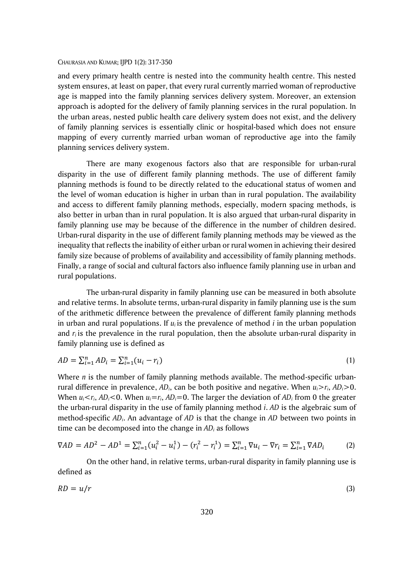and every primary health centre is nested into the community health centre. This nested system ensures, at least on paper, that every rural currently married woman of reproductive age is mapped into the family planning services delivery system. Moreover, an extension approach is adopted for the delivery of family planning services in the rural population. In the urban areas, nested public health care delivery system does not exist, and the delivery of family planning services is essentially clinic or hospital-based which does not ensure mapping of every currently married urban woman of reproductive age into the family planning services delivery system.

There are many exogenous factors also that are responsible for urban-rural disparity in the use of different family planning methods. The use of different family planning methods is found to be directly related to the educational status of women and the level of woman education is higher in urban than in rural population. The availability and access to different family planning methods, especially, modern spacing methods, is also better in urban than in rural population. It is also argued that urban-rural disparity in family planning use may be because of the difference in the number of children desired. Urban-rural disparity in the use of different family planning methods may be viewed as the inequality that reflects the inability of either urban or rural women in achieving their desired family size because of problems of availability and accessibility of family planning methods. Finally, a range of social and cultural factors also influence family planning use in urban and rural populations.

The urban-rural disparity in family planning use can be measured in both absolute and relative terms. In absolute terms, urban-rural disparity in family planning use is the sum of the arithmetic difference between the prevalence of different family planning methods in urban and rural populations. If  $u_i$  is the prevalence of method *i* in the urban population and *r<sup>i</sup>* is the prevalence in the rural population, then the absolute urban-rural disparity in family planning use is defined as

$$
AD = \sum_{i=1}^{n} AD_i = \sum_{i=1}^{n} (u_i - r_i)
$$
\n(1)

Where *n* is the number of family planning methods available. The method-specific urbanrural difference in prevalence,  $AD_i$ , can be both positive and negative. When  $u_i > r_i$ ,  $AD_i > 0$ . When  $u_i \le r_i$ ,  $AD_i \le 0$ . When  $u_i = r_i$ ,  $AD_i = 0$ . The larger the deviation of  $AD_i$  from 0 the greater the urban-rural disparity in the use of family planning method *i*. *AD* is the algebraic sum of method-specific *ADi*. An advantage of *AD* is that the change in *AD* between two points in time can be decomposed into the change in *AD<sup>i</sup>* as follows

$$
\nabla A D = A D^2 - A D^1 = \sum_{i=1}^n (u_i^2 - u_i^1) - (r_i^2 - r_i^1) = \sum_{i=1}^n \nabla u_i - \nabla r_i = \sum_{i=1}^n \nabla A D_i \tag{2}
$$

On the other hand, in relative terms, urban-rural disparity in family planning use is defined as

$$
RD = u/r \tag{3}
$$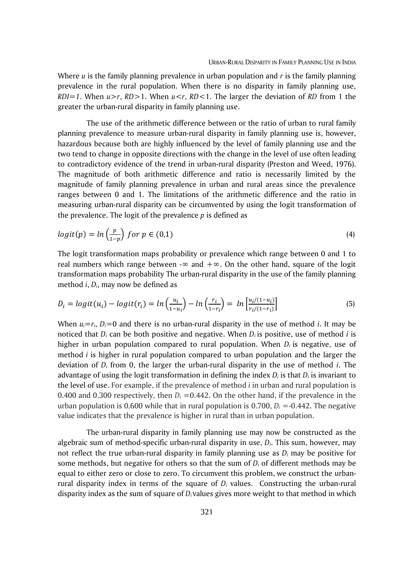Where *u* is the family planning prevalence in urban population and *r* is the family planning prevalence in the rural population. When there is no disparity in family planning use,  $RDI = 1$ . When  $u > r$ ,  $RD > 1$ . When  $u < r$ ,  $RD < 1$ . The larger the deviation of RD from 1 the greater the urban-rural disparity in family planning use.

The use of the arithmetic difference between or the ratio of urban to rural family planning prevalence to measure urban-rural disparity in family planning use is, however, hazardous because both are highly influenced by the level of family planning use and the two tend to change in opposite directions with the change in the level of use often leading to contradictory evidence of the trend in urban-rural disparity (Preston and Weed, 1976). The magnitude of both arithmetic difference and ratio is necessarily limited by the magnitude of family planning prevalence in urban and rural areas since the prevalence ranges between 0 and 1. The limitations of the arithmetic difference and the ratio in measuring urban-rural disparity can be circumvented by using the logit transformation of the prevalence. The logit of the prevalence *p* is defined as

$$
logit(p) = ln\left(\frac{p}{1-p}\right) for p \in (0,1)
$$
\n(4)

The logit transformation maps probability or prevalence which range between 0 and 1 to real numbers which range between -∞ and  $+\infty$ . On the other hand, square of the logit transformation maps probability The urban-rural disparity in the use of the family planning method *i*, *Di*, may now be defined as

$$
D_i = logit(u_i) - logit(r_i) = ln\left(\frac{u_i}{1 - u_i}\right) - ln\left(\frac{r_i}{1 - r_i}\right) = ln\left[\frac{u_i}{(1 - v_i)}\right] \tag{5}
$$

When  $u_i = r_i$ ,  $D_i = 0$  and there is no urban-rural disparity in the use of method *i*. It may be noticed that  $D_i$  can be both positive and negative. When  $D_i$  is positive, use of method *i* is higher in urban population compared to rural population. When  $D_i$  is negative, use of method *i* is higher in rural population compared to urban population and the larger the deviation of *D<sup>i</sup>* from 0, the larger the urban-rural disparity in the use of method *i*. The advantage of using the logit transformation in defining the index  $D_i$  is that  $D_i$  is invariant to the level of use. For example, if the prevalence of method *i* in urban and rural population is 0.400 and 0.300 respectively, then  $D_i = 0.442$ . On the other hand, if the prevalence in the urban population is 0.600 while that in rural population is  $0.700$ ,  $D_i = -0.442$ . The negative value indicates that the prevalence is higher in rural than in urban population.

The urban-rural disparity in family planning use may now be constructed as the algebraic sum of method-specific urban-rural disparity in use, *Di*. This sum, however, may not reflect the true urban-rural disparity in family planning use as *D<sup>i</sup>* may be positive for some methods, but negative for others so that the sum of  $D_i$  of different methods may be equal to either zero or close to zero. To circumvent this problem, we construct the urbanrural disparity index in terms of the square of *D<sup>i</sup>* values. Constructing the urban-rural disparity index as the sum of square of *D<sup>i</sup>* values gives more weight to that method in which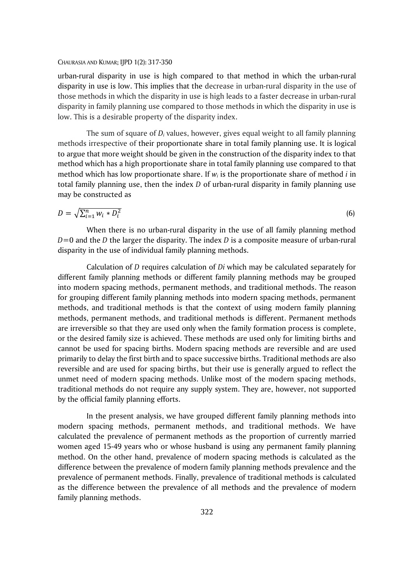urban-rural disparity in use is high compared to that method in which the urban-rural disparity in use is low. This implies that the decrease in urban-rural disparity in the use of those methods in which the disparity in use is high leads to a faster decrease in urban-rural disparity in family planning use compared to those methods in which the disparity in use is low. This is a desirable property of the disparity index.

The sum of square of *D<sup>i</sup>* values, however, gives equal weight to all family planning methods irrespective of their proportionate share in total family planning use. It is logical to argue that more weight should be given in the construction of the disparity index to that method which has a high proportionate share in total family planning use compared to that method which has low proportionate share. If *w<sup>i</sup>* is the proportionate share of method *i* in total family planning use, then the index *D* of urban-rural disparity in family planning use may be constructed as

$$
D = \sqrt{\sum_{i=1}^{n} w_i * D_i^2} \tag{6}
$$

When there is no urban-rural disparity in the use of all family planning method *D*=0 and the *D* the larger the disparity. The index *D* is a composite measure of urban-rural disparity in the use of individual family planning methods.

Calculation of *D* requires calculation of *Di* which may be calculated separately for different family planning methods or different family planning methods may be grouped into modern spacing methods, permanent methods, and traditional methods. The reason for grouping different family planning methods into modern spacing methods, permanent methods, and traditional methods is that the context of using modern family planning methods, permanent methods, and traditional methods is different. Permanent methods are irreversible so that they are used only when the family formation process is complete, or the desired family size is achieved. These methods are used only for limiting births and cannot be used for spacing births. Modern spacing methods are reversible and are used primarily to delay the first birth and to space successive births. Traditional methods are also reversible and are used for spacing births, but their use is generally argued to reflect the unmet need of modern spacing methods. Unlike most of the modern spacing methods, traditional methods do not require any supply system. They are, however, not supported by the official family planning efforts.

In the present analysis, we have grouped different family planning methods into modern spacing methods, permanent methods, and traditional methods. We have calculated the prevalence of permanent methods as the proportion of currently married women aged 15-49 years who or whose husband is using any permanent family planning method. On the other hand, prevalence of modern spacing methods is calculated as the difference between the prevalence of modern family planning methods prevalence and the prevalence of permanent methods. Finally, prevalence of traditional methods is calculated as the difference between the prevalence of all methods and the prevalence of modern family planning methods.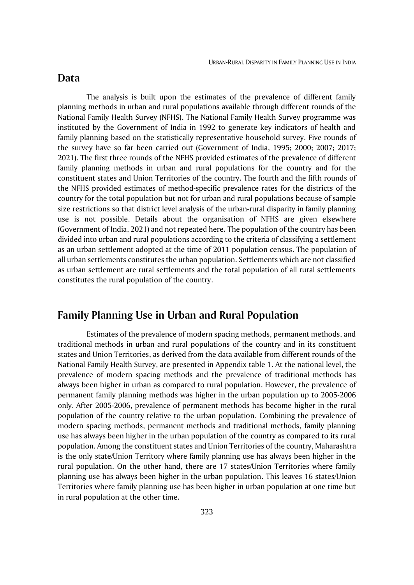### **Data**

The analysis is built upon the estimates of the prevalence of different family planning methods in urban and rural populations available through different rounds of the National Family Health Survey (NFHS). The National Family Health Survey programme was instituted by the Government of India in 1992 to generate key indicators of health and family planning based on the statistically representative household survey. Five rounds of the survey have so far been carried out (Government of India, 1995; 2000; 2007; 2017; 2021). The first three rounds of the NFHS provided estimates of the prevalence of different family planning methods in urban and rural populations for the country and for the constituent states and Union Territories of the country. The fourth and the fifth rounds of the NFHS provided estimates of method-specific prevalence rates for the districts of the country for the total population but not for urban and rural populations because of sample size restrictions so that district level analysis of the urban-rural disparity in family planning use is not possible. Details about the organisation of NFHS are given elsewhere (Government of India, 2021) and not repeated here. The population of the country has been divided into urban and rural populations according to the criteria of classifying a settlement as an urban settlement adopted at the time of 2011 population census. The population of all urban settlements constitutes the urban population. Settlements which are not classified as urban settlement are rural settlements and the total population of all rural settlements constitutes the rural population of the country.

# **Family Planning Use in Urban and Rural Population**

Estimates of the prevalence of modern spacing methods, permanent methods, and traditional methods in urban and rural populations of the country and in its constituent states and Union Territories, as derived from the data available from different rounds of the National Family Health Survey, are presented in Appendix table 1. At the national level, the prevalence of modern spacing methods and the prevalence of traditional methods has always been higher in urban as compared to rural population. However, the prevalence of permanent family planning methods was higher in the urban population up to 2005-2006 only. After 2005-2006, prevalence of permanent methods has become higher in the rural population of the country relative to the urban population. Combining the prevalence of modern spacing methods, permanent methods and traditional methods, family planning use has always been higher in the urban population of the country as compared to its rural population. Among the constituent states and Union Territories of the country, Maharashtra is the only state/Union Territory where family planning use has always been higher in the rural population. On the other hand, there are 17 states/Union Territories where family planning use has always been higher in the urban population. This leaves 16 states/Union Territories where family planning use has been higher in urban population at one time but in rural population at the other time.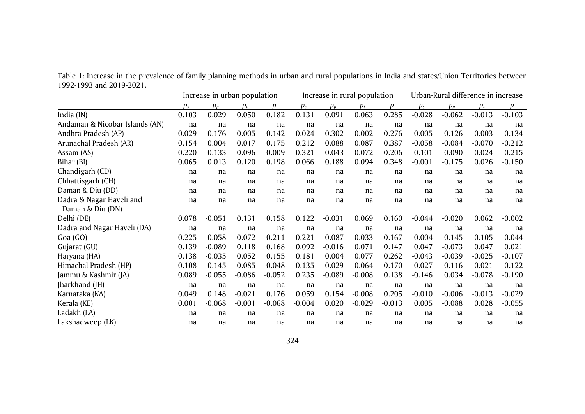|                                              | Increase in urban population |          |          |          | Increase in rural population |          |          |          | Urban-Rural difference in increase |          |          |          |
|----------------------------------------------|------------------------------|----------|----------|----------|------------------------------|----------|----------|----------|------------------------------------|----------|----------|----------|
|                                              | $p_{s}$                      | $p_p$    | $p_t$    | D        | $p_{s}$                      | $p_p$    | $p_t$    | n        | $p_{s}$                            | $p_p$    | $p_t$    | Ď        |
| India (IN)                                   | 0.103                        | 0.029    | 0.050    | 0.182    | 0.131                        | 0.091    | 0.063    | 0.285    | $-0.028$                           | $-0.062$ | $-0.013$ | $-0.103$ |
| Andaman & Nicobar Islands (AN)               | na                           | na       | na       | na       | na                           | na       | na       | na       | na                                 | na       | na       | na       |
| Andhra Pradesh (AP)                          | $-0.029$                     | 0.176    | $-0.005$ | 0.142    | $-0.024$                     | 0.302    | $-0.002$ | 0.276    | $-0.005$                           | $-0.126$ | $-0.003$ | $-0.134$ |
| Arunachal Pradesh (AR)                       | 0.154                        | 0.004    | 0.017    | 0.175    | 0.212                        | 0.088    | 0.087    | 0.387    | $-0.058$                           | $-0.084$ | $-0.070$ | $-0.212$ |
| Assam (AS)                                   | 0.220                        | $-0.133$ | $-0.096$ | $-0.009$ | 0.321                        | $-0.043$ | $-0.072$ | 0.206    | $-0.101$                           | $-0.090$ | $-0.024$ | $-0.215$ |
| Bihar (BI)                                   | 0.065                        | 0.013    | 0.120    | 0.198    | 0.066                        | 0.188    | 0.094    | 0.348    | $-0.001$                           | $-0.175$ | 0.026    | $-0.150$ |
| Chandigarh (CD)                              | na                           | na       | na       | na       | na                           | na       | na       | na       | na                                 | na       | na       | na       |
| Chhattisgarh (CH)                            | na                           | na       | na       | na       | na                           | na       | na       | na       | na                                 | na       | na       | na       |
| Daman & Diu (DD)                             | na                           | na       | na       | na       | na                           | na       | na       | na       | na                                 | na       | na       | na       |
| Dadra & Nagar Haveli and<br>Daman & Diu (DN) | na                           | na       | na       | na       | na                           | na       | na       | na       | na                                 | na       | na       | na       |
| Delhi (DE)                                   | 0.078                        | $-0.051$ | 0.131    | 0.158    | 0.122                        | $-0.031$ | 0.069    | 0.160    | $-0.044$                           | $-0.020$ | 0.062    | $-0.002$ |
| Dadra and Nagar Haveli (DA)                  | na                           | na       | na       | na       | na                           | na       | na       | na       | na                                 | na       | na       | na       |
| Goa (GO)                                     | 0.225                        | 0.058    | $-0.072$ | 0.211    | 0.221                        | $-0.087$ | 0.033    | 0.167    | 0.004                              | 0.145    | $-0.105$ | 0.044    |
| Gujarat (GU)                                 | 0.139                        | $-0.089$ | 0.118    | 0.168    | 0.092                        | $-0.016$ | 0.071    | 0.147    | 0.047                              | $-0.073$ | 0.047    | 0.021    |
| Haryana (HA)                                 | 0.138                        | $-0.035$ | 0.052    | 0.155    | 0.181                        | 0.004    | 0.077    | 0.262    | $-0.043$                           | $-0.039$ | $-0.025$ | $-0.107$ |
| Himachal Pradesh (HP)                        | 0.108                        | $-0.145$ | 0.085    | 0.048    | 0.135                        | $-0.029$ | 0.064    | 0.170    | $-0.027$                           | $-0.116$ | 0.021    | $-0.122$ |
| Jammu & Kashmir (JA)                         | 0.089                        | $-0.055$ | $-0.086$ | $-0.052$ | 0.235                        | $-0.089$ | $-0.008$ | 0.138    | $-0.146$                           | 0.034    | $-0.078$ | $-0.190$ |
| Jharkhand (JH)                               | na                           | na       | na       | na       | na                           | na       | na       | na       | na                                 | na       | na       | na       |
| Karnataka (KA)                               | 0.049                        | 0.148    | $-0.021$ | 0.176    | 0.059                        | 0.154    | $-0.008$ | 0.205    | $-0.010$                           | $-0.006$ | $-0.013$ | $-0.029$ |
| Kerala (KE)                                  | 0.001                        | $-0.068$ | $-0.001$ | $-0.068$ | $-0.004$                     | 0.020    | $-0.029$ | $-0.013$ | 0.005                              | $-0.088$ | 0.028    | $-0.055$ |
| Ladakh (LA)                                  | na                           | na       | na       | na       | na                           | na       | na       | na       | na                                 | na       | na       | na       |
| Lakshadweep (LK)                             | na                           | na       | na       | na       | na                           | na       | na       | na       | na                                 | na       | na       | na       |

Table 1: Increase in the prevalence of family planning methods in urban and rural populations in India and states/Union Territories between 1992-1993 and 2019-2021.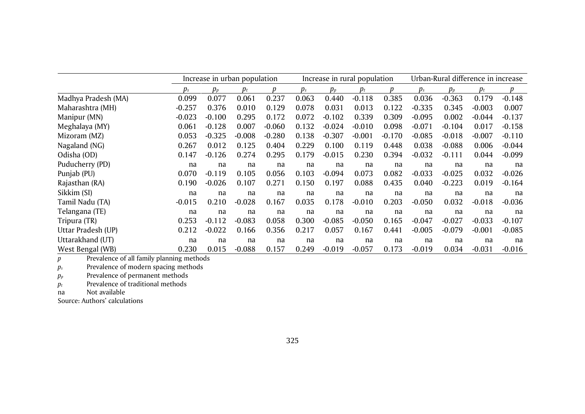|                     | Increase in urban population       |          |          |          |       | Increase in rural population |          | Urban-Rural difference in increase |                                    |          |          |              |
|---------------------|------------------------------------|----------|----------|----------|-------|------------------------------|----------|------------------------------------|------------------------------------|----------|----------|--------------|
|                     | $p_{\scriptscriptstyle\mathit{S}}$ | $p_p$    | $p_t$    |          | $p_s$ | $p_p$                        | $p_t$    | Ŋ                                  | $p_{\scriptscriptstyle\mathit{S}}$ | $p_{n}$  | $p_t$    | <sub>1</sub> |
| Madhya Pradesh (MA) | 0.099                              | 0.077    | 0.061    | 0.237    | 0.063 | 0.440                        | $-0.118$ | 0.385                              | 0.036                              | $-0.363$ | 0.179    | $-0.148$     |
| Maharashtra (MH)    | $-0.257$                           | 0.376    | 0.010    | 0.129    | 0.078 | 0.031                        | 0.013    | 0.122                              | $-0.335$                           | 0.345    | $-0.003$ | 0.007        |
| Manipur (MN)        | $-0.023$                           | $-0.100$ | 0.295    | 0.172    | 0.072 | $-0.102$                     | 0.339    | 0.309                              | $-0.095$                           | 0.002    | $-0.044$ | $-0.137$     |
| Meghalaya (MY)      | 0.061                              | $-0.128$ | 0.007    | $-0.060$ | 0.132 | $-0.024$                     | $-0.010$ | 0.098                              | $-0.071$                           | $-0.104$ | 0.017    | $-0.158$     |
| Mizoram (MZ)        | 0.053                              | $-0.325$ | $-0.008$ | $-0.280$ | 0.138 | $-0.307$                     | $-0.001$ | $-0.170$                           | $-0.085$                           | $-0.018$ | $-0.007$ | $-0.110$     |
| Nagaland (NG)       | 0.267                              | 0.012    | 0.125    | 0.404    | 0.229 | 0.100                        | 0.119    | 0.448                              | 0.038                              | $-0.088$ | 0.006    | $-0.044$     |
| Odisha (OD)         | 0.147                              | $-0.126$ | 0.274    | 0.295    | 0.179 | $-0.015$                     | 0.230    | 0.394                              | $-0.032$                           | $-0.111$ | 0.044    | $-0.099$     |
| Puducherry (PD)     | na                                 | na       | na       | na       | na    | na                           | na       | na                                 | na                                 | na       | na       | na           |
| Punjab (PU)         | 0.070                              | $-0.119$ | 0.105    | 0.056    | 0.103 | $-0.094$                     | 0.073    | 0.082                              | $-0.033$                           | $-0.025$ | 0.032    | $-0.026$     |
| Rajasthan (RA)      | 0.190                              | $-0.026$ | 0.107    | 0.271    | 0.150 | 0.197                        | 0.088    | 0.435                              | 0.040                              | $-0.223$ | 0.019    | $-0.164$     |
| Sikkim (SI)         | na                                 | na       | na       | na       | na    | na                           | na       | na                                 | na                                 | na       | na       | na           |
| Tamil Nadu (TA)     | $-0.015$                           | 0.210    | $-0.028$ | 0.167    | 0.035 | 0.178                        | $-0.010$ | 0.203                              | $-0.050$                           | 0.032    | $-0.018$ | $-0.036$     |
| Telangana (TE)      | na                                 | na       | na       | na       | na    | na                           | na       | na                                 | na                                 | na       | na       | na           |
| Tripura (TR)        | 0.253                              | $-0.112$ | $-0.083$ | 0.058    | 0.300 | $-0.085$                     | $-0.050$ | 0.165                              | $-0.047$                           | $-0.027$ | $-0.033$ | $-0.107$     |
| Uttar Pradesh (UP)  | 0.212                              | $-0.022$ | 0.166    | 0.356    | 0.217 | 0.057                        | 0.167    | 0.441                              | $-0.005$                           | $-0.079$ | $-0.001$ | $-0.085$     |
| Uttarakhand (UT)    | na                                 | na       | na       | na       | na    | na                           | na       | na                                 | na                                 | na       | na       | na           |
| West Bengal (WB)    | 0.230                              | 0.015    | $-0.088$ | 0.157    | 0.249 | $-0.019$                     | $-0.057$ | 0.173                              | $-0.019$                           | 0.034    | $-0.031$ | $-0.016$     |

*p* Prevalence of all family planning methods

*p<sup>s</sup>* Prevalence of modern spacing methods

 $p_p$  Prevalence of permanent methods

*p<sup>t</sup>* Prevalence of traditional methods

na Not available

Source: Authors' calculations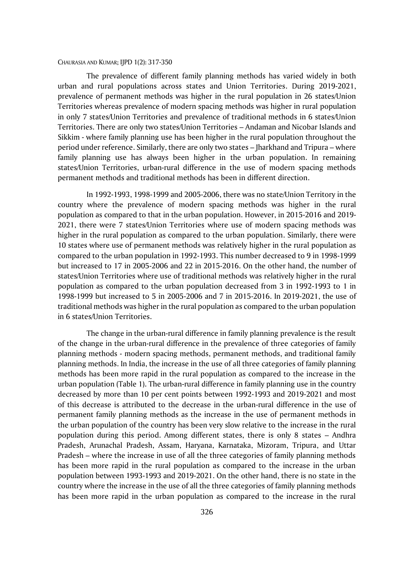The prevalence of different family planning methods has varied widely in both urban and rural populations across states and Union Territories. During 2019-2021, prevalence of permanent methods was higher in the rural population in 26 states/Union Territories whereas prevalence of modern spacing methods was higher in rural population in only 7 states/Union Territories and prevalence of traditional methods in 6 states/Union Territories. There are only two states/Union Territories – Andaman and Nicobar Islands and Sikkim - where family planning use has been higher in the rural population throughout the period under reference. Similarly, there are only two states – Jharkhand and Tripura – where family planning use has always been higher in the urban population. In remaining states/Union Territories, urban-rural difference in the use of modern spacing methods permanent methods and traditional methods has been in different direction.

In 1992-1993, 1998-1999 and 2005-2006, there was no state/Union Territory in the country where the prevalence of modern spacing methods was higher in the rural population as compared to that in the urban population. However, in 2015-2016 and 2019- 2021, there were 7 states/Union Territories where use of modern spacing methods was higher in the rural population as compared to the urban population. Similarly, there were 10 states where use of permanent methods was relatively higher in the rural population as compared to the urban population in 1992-1993. This number decreased to 9 in 1998-1999 but increased to 17 in 2005-2006 and 22 in 2015-2016. On the other hand, the number of states/Union Territories where use of traditional methods was relatively higher in the rural population as compared to the urban population decreased from 3 in 1992-1993 to 1 in 1998-1999 but increased to 5 in 2005-2006 and 7 in 2015-2016. In 2019-2021, the use of traditional methods was higher in the rural population as compared to the urban population in 6 states/Union Territories.

The change in the urban-rural difference in family planning prevalence is the result of the change in the urban-rural difference in the prevalence of three categories of family planning methods - modern spacing methods, permanent methods, and traditional family planning methods. In India, the increase in the use of all three categories of family planning methods has been more rapid in the rural population as compared to the increase in the urban population (Table 1). The urban-rural difference in family planning use in the country decreased by more than 10 per cent points between 1992-1993 and 2019-2021 and most of this decrease is attributed to the decrease in the urban-rural difference in the use of permanent family planning methods as the increase in the use of permanent methods in the urban population of the country has been very slow relative to the increase in the rural population during this period. Among different states, there is only 8 states – Andhra Pradesh, Arunachal Pradesh, Assam, Haryana, Karnataka, Mizoram, Tripura, and Uttar Pradesh – where the increase in use of all the three categories of family planning methods has been more rapid in the rural population as compared to the increase in the urban population between 1993-1993 and 2019-2021. On the other hand, there is no state in the country where the increase in the use of all the three categories of family planning methods has been more rapid in the urban population as compared to the increase in the rural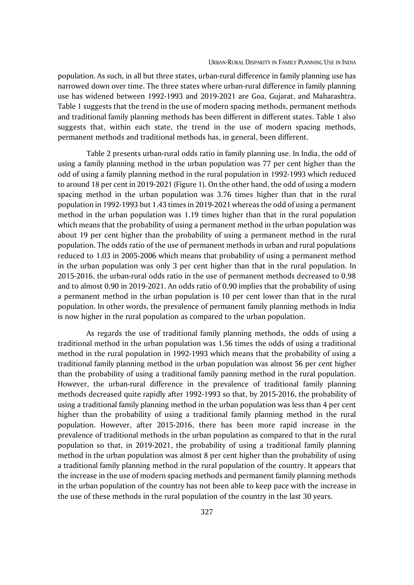population. As such, in all but three states, urban-rural difference in family planning use has narrowed down over time. The three states where urban-rural difference in family planning use has widened between 1992-1993 and 2019-2021 are Goa, Gujarat, and Maharashtra. Table 1 suggests that the trend in the use of modern spacing methods, permanent methods and traditional family planning methods has been different in different states. Table 1 also suggests that, within each state, the trend in the use of modern spacing methods, permanent methods and traditional methods has, in general, been different.

Table 2 presents urban-rural odds ratio in family planning use. In India, the odd of using a family planning method in the urban population was 77 per cent higher than the odd of using a family planning method in the rural population in 1992-1993 which reduced to around 18 per cent in 2019-2021 (Figure 1). On the other hand, the odd of using a modern spacing method in the urban population was 3.76 times higher than that in the rural population in 1992-1993 but 1.43 times in 2019-2021 whereas the odd of using a permanent method in the urban population was 1.19 times higher than that in the rural population which means that the probability of using a permanent method in the urban population was about 19 per cent higher than the probability of using a permanent method in the rural population. The odds ratio of the use of permanent methods in urban and rural populations reduced to 1.03 in 2005-2006 which means that probability of using a permanent method in the urban population was only 3 per cent higher than that in the rural population. In 2015-2016, the urban-rural odds ratio in the use of permanent methods decreased to 0.98 and to almost 0.90 in 2019-2021. An odds ratio of 0.90 implies that the probability of using a permanent method in the urban population is 10 per cent lower than that in the rural population. In other words, the prevalence of permanent family planning methods in India is now higher in the rural population as compared to the urban population.

As regards the use of traditional family planning methods, the odds of using a traditional method in the urban population was 1.56 times the odds of using a traditional method in the rural population in 1992-1993 which means that the probability of using a traditional family planning method in the urban population was almost 56 per cent higher than the probability of using a traditional family panning method in the rural population. However, the urban-rural difference in the prevalence of traditional family planning methods decreased quite rapidly after 1992-1993 so that, by 2015-2016, the probability of using a traditional family planning method in the urban population was less than 4 per cent higher than the probability of using a traditional family planning method in the rural population. However, after 2015-2016, there has been more rapid increase in the prevalence of traditional methods in the urban population as compared to that in the rural population so that, in 2019-2021, the probability of using a traditional family planning method in the urban population was almost 8 per cent higher than the probability of using a traditional family planning method in the rural population of the country. It appears that the increase in the use of modern spacing methods and permanent family planning methods in the urban population of the country has not been able to keep pace with the increase in the use of these methods in the rural population of the country in the last 30 years.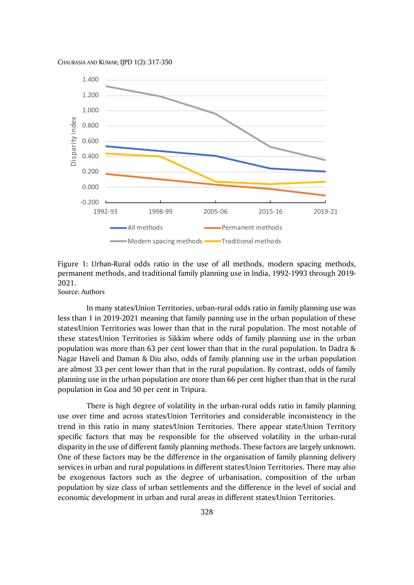

Figure 1: Urban-Rural odds ratio in the use of all methods, modern spacing methods, permanent methods, and traditional family planning use in India, 1992-1993 through 2019- 2021.

Source: Authors

In many states/Union Territories, urban-rural odds ratio in family planning use was less than 1 in 2019-2021 meaning that family panning use in the urban population of these states/Union Territories was lower than that in the rural population. The most notable of these states/Union Territories is Sikkim where odds of family planning use in the urban population was more than 63 per cent lower than that in the rural population. In Dadra & Nagar Haveli and Daman & Diu also, odds of family planning use in the urban population are almost 33 per cent lower than that in the rural population. By contrast, odds of family planning use in the urban population are more than 66 per cent higher than that in the rural population in Goa and 50 per cent in Tripura.

There is high degree of volatility in the urban-rural odds ratio in family planning use over time and across states/Union Territories and considerable inconsistency in the trend in this ratio in many states/Union Territories. There appear state/Union Territory specific factors that may be responsible for the observed volatility in the urban-rural disparity in the use of different family planning methods. These factors are largely unknown. One of these factors may be the difference in the organisation of family planning delivery services in urban and rural populations in different states/Union Territories. There may also be exogenous factors such as the degree of urbanisation, composition of the urban population by size class of urban settlements and the difference in the level of social and economic development in urban and rural areas in different states/Union Territories.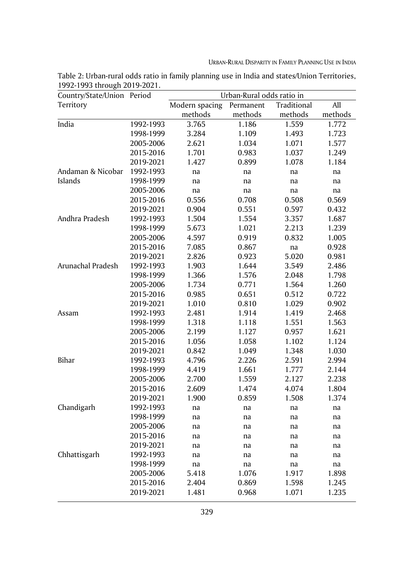URBAN-RURAL DISPARITY IN FAMILY PLANNING USE IN INDIA

| Country/State/Union Period |           | Urban-Rural odds ratio in |           |             |         |  |  |  |
|----------------------------|-----------|---------------------------|-----------|-------------|---------|--|--|--|
| Territory                  |           | Modern spacing            | Permanent | Traditional | All     |  |  |  |
|                            |           | methods                   | methods   | methods     | methods |  |  |  |
| India                      | 1992-1993 | 3.765                     | 1.186     | 1.559       | 1.772   |  |  |  |
|                            | 1998-1999 | 3.284                     | 1.109     | 1.493       | 1.723   |  |  |  |
|                            | 2005-2006 | 2.621                     | 1.034     | 1.071       | 1.577   |  |  |  |
|                            | 2015-2016 | 1.701                     | 0.983     | 1.037       | 1.249   |  |  |  |
|                            | 2019-2021 | 1.427                     | 0.899     | 1.078       | 1.184   |  |  |  |
| Andaman & Nicobar          | 1992-1993 | na                        | na        | na          | na      |  |  |  |
| Islands                    | 1998-1999 | na                        | na        | na          | na      |  |  |  |
|                            | 2005-2006 | na                        | na        | na          | na      |  |  |  |
|                            | 2015-2016 | 0.556                     | 0.708     | 0.508       | 0.569   |  |  |  |
|                            | 2019-2021 | 0.904                     | 0.551     | 0.597       | 0.432   |  |  |  |
| Andhra Pradesh             | 1992-1993 | 1.504                     | 1.554     | 3.357       | 1.687   |  |  |  |
|                            | 1998-1999 | 5.673                     | 1.021     | 2.213       | 1.239   |  |  |  |
|                            | 2005-2006 | 4.597                     | 0.919     | 0.832       | 1.005   |  |  |  |
|                            | 2015-2016 | 7.085                     | 0.867     | na          | 0.928   |  |  |  |
|                            | 2019-2021 | 2.826                     | 0.923     | 5.020       | 0.981   |  |  |  |
| Arunachal Pradesh          | 1992-1993 | 1.903                     | 1.644     | 3.549       | 2.486   |  |  |  |
|                            | 1998-1999 | 1.366                     | 1.576     | 2.048       | 1.798   |  |  |  |
|                            | 2005-2006 | 1.734                     | 0.771     | 1.564       | 1.260   |  |  |  |
|                            | 2015-2016 | 0.985                     | 0.651     | 0.512       | 0.722   |  |  |  |
|                            | 2019-2021 | 1.010                     | 0.810     | 1.029       | 0.902   |  |  |  |
| Assam                      | 1992-1993 | 2.481                     | 1.914     | 1.419       | 2.468   |  |  |  |
|                            | 1998-1999 | 1.318                     | 1.118     | 1.551       | 1.563   |  |  |  |
|                            | 2005-2006 | 2.199                     | 1.127     | 0.957       | 1.621   |  |  |  |
|                            | 2015-2016 | 1.056                     | 1.058     | 1.102       | 1.124   |  |  |  |
|                            | 2019-2021 | 0.842                     | 1.049     | 1.348       | 1.030   |  |  |  |
| Bihar                      | 1992-1993 | 4.796                     | 2.226     | 2.591       | 2.994   |  |  |  |
|                            | 1998-1999 | 4.419                     | 1.661     | 1.777       | 2.144   |  |  |  |
|                            | 2005-2006 | 2.700                     | 1.559     | 2.127       | 2.238   |  |  |  |
|                            | 2015-2016 | 2.609                     | 1.474     | 4.074       | 1.804   |  |  |  |
|                            | 2019-2021 | 1.900                     | 0.859     | 1.508       | 1.374   |  |  |  |
| Chandigarh                 | 1992-1993 | na                        | na        | na          | na      |  |  |  |
|                            | 1998-1999 | na                        | na        | na          | na      |  |  |  |
|                            | 2005-2006 | na                        | na        | na          | na      |  |  |  |
|                            | 2015-2016 | na                        | na        | na          | na      |  |  |  |
|                            | 2019-2021 | na                        | na        | na          | na      |  |  |  |
| Chhattisgarh               | 1992-1993 | na                        | na        | na          | na      |  |  |  |
|                            | 1998-1999 | na                        | na        | na          | na      |  |  |  |
|                            | 2005-2006 | 5.418                     | 1.076     | 1.917       | 1.898   |  |  |  |
|                            | 2015-2016 | 2.404                     | 0.869     | 1.598       | 1.245   |  |  |  |
|                            | 2019-2021 | 1.481                     | 0.968     | 1.071       | 1.235   |  |  |  |

Table 2: Urban-rural odds ratio in family planning use in India and states/Union Territories, 1992-1993 through 2019-2021.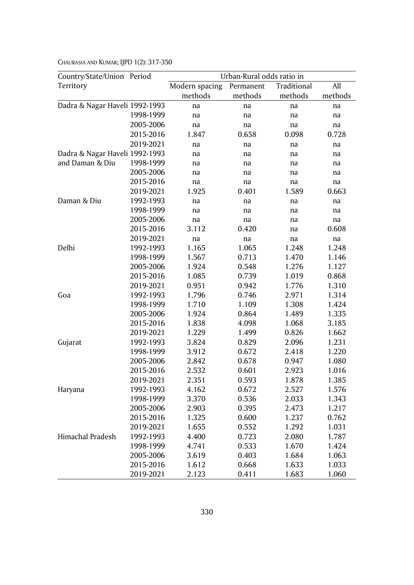| Country/State/Union Period     |           | Urban-Rural odds ratio in |           |             |         |  |  |  |  |
|--------------------------------|-----------|---------------------------|-----------|-------------|---------|--|--|--|--|
| Territory                      |           | Modern spacing            | Permanent | Traditional | All     |  |  |  |  |
|                                |           | methods                   | methods   | methods     | methods |  |  |  |  |
| Dadra & Nagar Haveli 1992-1993 |           | na                        | na        | na          | na      |  |  |  |  |
|                                | 1998-1999 | na                        | na        | na          | na      |  |  |  |  |
|                                | 2005-2006 | na                        | na        | na          | na      |  |  |  |  |
|                                | 2015-2016 | 1.847                     | 0.658     | 0.098       | 0.728   |  |  |  |  |
|                                | 2019-2021 | na                        | na        | na          | na      |  |  |  |  |
| Dadra & Nagar Haveli 1992-1993 |           | na                        | na        | na          | na      |  |  |  |  |
| and Daman & Diu                | 1998-1999 | na                        | na        | na          | na      |  |  |  |  |
|                                | 2005-2006 | na                        | na        | na          | na      |  |  |  |  |
|                                | 2015-2016 | na                        | na        | na          | na      |  |  |  |  |
|                                | 2019-2021 | 1.925                     | 0.401     | 1.589       | 0.663   |  |  |  |  |
| Daman & Diu                    | 1992-1993 | na                        | na        | na          | na      |  |  |  |  |
|                                | 1998-1999 | na                        | na        | na          | na      |  |  |  |  |
|                                | 2005-2006 | na                        | na        | na          | na      |  |  |  |  |
|                                | 2015-2016 | 3.112                     | 0.420     | na          | 0.608   |  |  |  |  |
|                                | 2019-2021 | na                        | na        | na          | na      |  |  |  |  |
| Delhi                          | 1992-1993 | 1.165                     | 1.065     | 1.248       | 1.248   |  |  |  |  |
|                                | 1998-1999 | 1.567                     | 0.713     | 1.470       | 1.146   |  |  |  |  |
|                                | 2005-2006 | 1.924                     | 0.548     | 1.276       | 1.127   |  |  |  |  |
|                                | 2015-2016 | 1.085                     | 0.739     | 1.019       | 0.868   |  |  |  |  |
|                                | 2019-2021 | 0.951                     | 0.942     | 1.776       | 1.310   |  |  |  |  |
| Goa                            | 1992-1993 | 1.796                     | 0.746     | 2.971       | 1.314   |  |  |  |  |
|                                | 1998-1999 | 1.710                     | 1.109     | 1.308       | 1.424   |  |  |  |  |
|                                | 2005-2006 | 1.924                     | 0.864     | 1.489       | 1.335   |  |  |  |  |
|                                | 2015-2016 | 1.838                     | 4.098     | 1.068       | 3.185   |  |  |  |  |
|                                | 2019-2021 | 1.229                     | 1.499     | 0.826       | 1.662   |  |  |  |  |
| Gujarat                        | 1992-1993 | 3.824                     | 0.829     | 2.096       | 1.231   |  |  |  |  |
|                                | 1998-1999 | 3.912                     | 0.672     | 2.418       | 1.220   |  |  |  |  |
|                                | 2005-2006 | 2.842                     | 0.678     | 0.947       | 1.080   |  |  |  |  |
|                                | 2015-2016 | 2.532                     | 0.601     | 2.923       | 1.016   |  |  |  |  |
|                                | 2019-2021 | 2.351                     | 0.593     | 1.878       | 1.385   |  |  |  |  |
| Haryana                        | 1992-1993 | 4.162                     | 0.672     | 2.527       | 1.576   |  |  |  |  |
|                                | 1998-1999 | 3.370                     | 0.536     | 2.033       | 1.343   |  |  |  |  |
|                                | 2005-2006 | 2.903                     | 0.395     | 2.473       | 1.217   |  |  |  |  |
|                                | 2015-2016 | 1.325                     | 0.600     | 1.237       | 0.762   |  |  |  |  |
|                                | 2019-2021 | 1.655                     | 0.552     | 1.292       | 1.031   |  |  |  |  |
| Himachal Pradesh               | 1992-1993 | 4.400                     | 0.723     | 2.080       | 1.787   |  |  |  |  |
|                                | 1998-1999 | 4.741                     | 0.533     | 1.670       | 1.424   |  |  |  |  |
|                                | 2005-2006 | 3.619                     | 0.403     | 1.684       | 1.063   |  |  |  |  |
|                                | 2015-2016 | 1.612                     | 0.668     | 1.633       | 1.033   |  |  |  |  |
|                                | 2019-2021 | 2.123                     | 0.411     | 1.683       | 1.060   |  |  |  |  |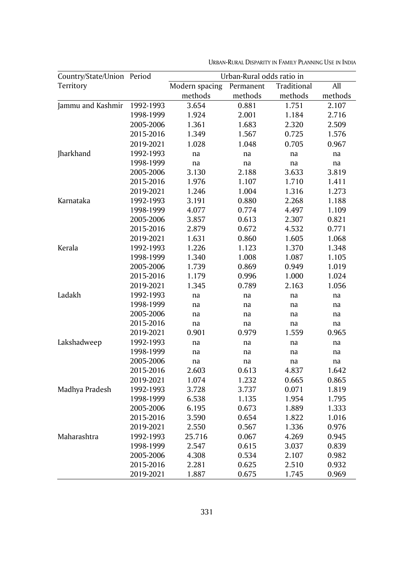| Country/State/Union | Period    | Urban-Rural odds ratio in |           |             |         |  |  |  |
|---------------------|-----------|---------------------------|-----------|-------------|---------|--|--|--|
| Territory           |           | Modern spacing            | Permanent | Traditional | All     |  |  |  |
|                     |           | methods                   | methods   | methods     | methods |  |  |  |
| Jammu and Kashmir   | 1992-1993 | 3.654                     | 0.881     | 1.751       | 2.107   |  |  |  |
|                     | 1998-1999 | 1.924                     | 2.001     | 1.184       | 2.716   |  |  |  |
|                     | 2005-2006 | 1.361                     | 1.683     | 2.320       | 2.509   |  |  |  |
|                     | 2015-2016 | 1.349                     | 1.567     | 0.725       | 1.576   |  |  |  |
|                     | 2019-2021 | 1.028                     | 1.048     | 0.705       | 0.967   |  |  |  |
| Jharkhand           | 1992-1993 | na                        | na        | na          | na      |  |  |  |
|                     | 1998-1999 | na                        | na        | na          | na      |  |  |  |
|                     | 2005-2006 | 3.130                     | 2.188     | 3.633       | 3.819   |  |  |  |
|                     | 2015-2016 | 1.976                     | 1.107     | 1.710       | 1.411   |  |  |  |
|                     | 2019-2021 | 1.246                     | 1.004     | 1.316       | 1.273   |  |  |  |
| Karnataka           | 1992-1993 | 3.191                     | 0.880     | 2.268       | 1.188   |  |  |  |
|                     | 1998-1999 | 4.077                     | 0.774     | 4.497       | 1.109   |  |  |  |
|                     | 2005-2006 | 3.857                     | 0.613     | 2.307       | 0.821   |  |  |  |
|                     | 2015-2016 | 2.879                     | 0.672     | 4.532       | 0.771   |  |  |  |
|                     | 2019-2021 | 1.631                     | 0.860     | 1.605       | 1.068   |  |  |  |
| Kerala              | 1992-1993 | 1.226                     | 1.123     | 1.370       | 1.348   |  |  |  |
|                     | 1998-1999 | 1.340                     | 1.008     | 1.087       | 1.105   |  |  |  |
|                     | 2005-2006 | 1.739                     | 0.869     | 0.949       | 1.019   |  |  |  |
|                     | 2015-2016 | 1.179                     | 0.996     | 1.000       | 1.024   |  |  |  |
|                     | 2019-2021 | 1.345                     | 0.789     | 2.163       | 1.056   |  |  |  |
| Ladakh              | 1992-1993 | na                        | na        | na          | na      |  |  |  |
|                     | 1998-1999 | na                        | na        | na          | na      |  |  |  |
|                     | 2005-2006 | na                        | na        | na          | na      |  |  |  |
|                     | 2015-2016 | na                        | na        | na          | na      |  |  |  |
|                     | 2019-2021 | 0.901                     | 0.979     | 1.559       | 0.965   |  |  |  |
| Lakshadweep         | 1992-1993 | na                        | na        | na          | na      |  |  |  |
|                     | 1998-1999 | na                        | na        | na          | na      |  |  |  |
|                     | 2005-2006 | na                        | na        | na          | na      |  |  |  |
|                     | 2015-2016 | 2.603                     | 0.613     | 4.837       | 1.642   |  |  |  |
|                     | 2019-2021 | 1.074                     | 1.232     | 0.665       | 0.865   |  |  |  |
| Madhya Pradesh      | 1992-1993 | 3.728                     | 3.737     | 0.071       | 1.819   |  |  |  |
|                     | 1998-1999 | 6.538                     | 1.135     | 1.954       | 1.795   |  |  |  |
|                     | 2005-2006 | 6.195                     | 0.673     | 1.889       | 1.333   |  |  |  |
|                     | 2015-2016 | 3.590                     | 0.654     | 1.822       | 1.016   |  |  |  |
|                     | 2019-2021 | 2.550                     | 0.567     | 1.336       | 0.976   |  |  |  |
| Maharashtra         | 1992-1993 | 25.716                    | 0.067     | 4.269       | 0.945   |  |  |  |
|                     | 1998-1999 | 2.547                     | 0.615     | 3.037       | 0.839   |  |  |  |
|                     | 2005-2006 | 4.308                     | 0.534     | 2.107       | 0.982   |  |  |  |
|                     | 2015-2016 | 2.281                     | 0.625     | 2.510       | 0.932   |  |  |  |
|                     | 2019-2021 | 1.887                     | 0.675     | 1.745       | 0.969   |  |  |  |

URBAN-RURAL DISPARITY IN FAMILY PLANNING USE IN INDIA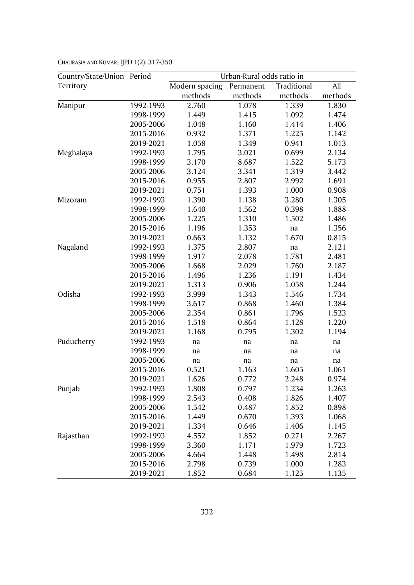| Country/State/Union | Period    | Urban-Rural odds ratio in |           |             |         |  |  |
|---------------------|-----------|---------------------------|-----------|-------------|---------|--|--|
| Territory           |           | Modern spacing            | Permanent | Traditional | All     |  |  |
|                     |           | methods                   | methods   | methods     | methods |  |  |
| Manipur             | 1992-1993 | 2.760                     | 1.078     | 1.339       | 1.830   |  |  |
|                     | 1998-1999 | 1.449                     | 1.415     | 1.092       | 1.474   |  |  |
|                     | 2005-2006 | 1.048                     | 1.160     | 1.414       | 1.406   |  |  |
|                     | 2015-2016 | 0.932                     | 1.371     | 1.225       | 1.142   |  |  |
|                     | 2019-2021 | 1.058                     | 1.349     | 0.941       | 1.013   |  |  |
| Meghalaya           | 1992-1993 | 1.795                     | 3.021     | 0.699       | 2.134   |  |  |
|                     | 1998-1999 | 3.170                     | 8.687     | 1.522       | 5.173   |  |  |
|                     | 2005-2006 | 3.124                     | 3.341     | 1.319       | 3.442   |  |  |
|                     | 2015-2016 | 0.955                     | 2.807     | 2.992       | 1.691   |  |  |
|                     | 2019-2021 | 0.751                     | 1.393     | 1.000       | 0.908   |  |  |
| Mizoram             | 1992-1993 | 1.390                     | 1.138     | 3.280       | 1.305   |  |  |
|                     | 1998-1999 | 1.640                     | 1.562     | 0.398       | 1.888   |  |  |
|                     | 2005-2006 | 1.225                     | 1.310     | 1.502       | 1.486   |  |  |
|                     | 2015-2016 | 1.196                     | 1.353     | na          | 1.356   |  |  |
|                     | 2019-2021 | 0.663                     | 1.132     | 1.670       | 0.815   |  |  |
| Nagaland            | 1992-1993 | 1.375                     | 2.807     | na          | 2.121   |  |  |
|                     | 1998-1999 | 1.917                     | 2.078     | 1.781       | 2.481   |  |  |
|                     | 2005-2006 | 1.668                     | 2.029     | 1.760       | 2.187   |  |  |
|                     | 2015-2016 | 1.496                     | 1.236     | 1.191       | 1.434   |  |  |
|                     | 2019-2021 | 1.313                     | 0.906     | 1.058       | 1.244   |  |  |
| Odisha              | 1992-1993 | 3.999                     | 1.343     | 1.546       | 1.734   |  |  |
|                     | 1998-1999 | 3.617                     | 0.868     | 1.460       | 1.384   |  |  |
|                     | 2005-2006 | 2.354                     | 0.861     | 1.796       | 1.523   |  |  |
|                     | 2015-2016 | 1.518                     | 0.864     | 1.128       | 1.220   |  |  |
|                     | 2019-2021 | 1.168                     | 0.795     | 1.302       | 1.194   |  |  |
| Puducherry          | 1992-1993 | na                        | na        | na          | na      |  |  |
|                     | 1998-1999 | na                        | na        | na          | na      |  |  |
|                     | 2005-2006 | na                        | na        | na          | na      |  |  |
|                     | 2015-2016 | 0.521                     | 1.163     | 1.605       | 1.061   |  |  |
|                     | 2019-2021 | 1.626                     | 0.772     | 2.248       | 0.974   |  |  |
| Punjab              | 1992-1993 | 1.808                     | 0.797     | 1.234       | 1.263   |  |  |
|                     | 1998-1999 | 2.543                     | 0.408     | 1.826       | 1.407   |  |  |
|                     | 2005-2006 | 1.542                     | 0.487     | 1.852       | 0.898   |  |  |
|                     | 2015-2016 | 1.449                     | 0.670     | 1.393       | 1.068   |  |  |
|                     | 2019-2021 | 1.334                     | 0.646     | 1.406       | 1.145   |  |  |
| Rajasthan           | 1992-1993 | 4.552                     | 1.852     | 0.271       | 2.267   |  |  |
|                     | 1998-1999 | 3.360                     | 1.171     | 1.979       | 1.723   |  |  |
|                     | 2005-2006 | 4.664                     | 1.448     | 1.498       | 2.814   |  |  |
|                     | 2015-2016 | 2.798                     | 0.739     | 1.000       | 1.283   |  |  |
|                     | 2019-2021 | 1.852                     | 0.684     | 1.125       | 1.135   |  |  |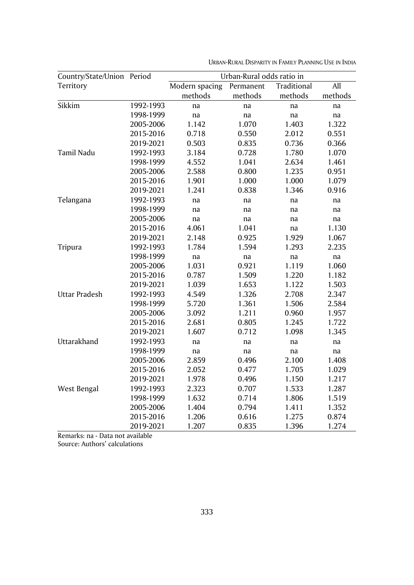| Country/State/Union Period |           | Urban-Rural odds ratio in |           |             |         |  |  |  |
|----------------------------|-----------|---------------------------|-----------|-------------|---------|--|--|--|
| Territory                  |           | Modern spacing            | Permanent | Traditional | All     |  |  |  |
|                            |           | methods                   | methods   | methods     | methods |  |  |  |
| Sikkim                     | 1992-1993 | na                        | na        | na          | na      |  |  |  |
|                            | 1998-1999 | na                        | na        | na          | na      |  |  |  |
|                            | 2005-2006 | 1.142                     | 1.070     | 1.403       | 1.322   |  |  |  |
|                            | 2015-2016 | 0.718                     | 0.550     | 2.012       | 0.551   |  |  |  |
|                            | 2019-2021 | 0.503                     | 0.835     | 0.736       | 0.366   |  |  |  |
| Tamil Nadu                 | 1992-1993 | 3.184                     | 0.728     | 1.780       | 1.070   |  |  |  |
|                            | 1998-1999 | 4.552                     | 1.041     | 2.634       | 1.461   |  |  |  |
|                            | 2005-2006 | 2.588                     | 0.800     | 1.235       | 0.951   |  |  |  |
|                            | 2015-2016 | 1.901                     | 1.000     | 1.000       | 1.079   |  |  |  |
|                            | 2019-2021 | 1.241                     | 0.838     | 1.346       | 0.916   |  |  |  |
| Telangana                  | 1992-1993 | na                        | na        | na          | na      |  |  |  |
|                            | 1998-1999 | na                        | na        | na          | na      |  |  |  |
|                            | 2005-2006 | na                        | na        | na          | na      |  |  |  |
|                            | 2015-2016 | 4.061                     | 1.041     | na          | 1.130   |  |  |  |
|                            | 2019-2021 | 2.148                     | 0.925     | 1.929       | 1.067   |  |  |  |
| Tripura                    | 1992-1993 | 1.784                     | 1.594     | 1.293       | 2.235   |  |  |  |
|                            | 1998-1999 | na                        | na        | na          | na      |  |  |  |
|                            | 2005-2006 | 1.031                     | 0.921     | 1.119       | 1.060   |  |  |  |
|                            | 2015-2016 | 0.787                     | 1.509     | 1.220       | 1.182   |  |  |  |
|                            | 2019-2021 | 1.039                     | 1.653     | 1.122       | 1.503   |  |  |  |
| <b>Uttar Pradesh</b>       | 1992-1993 | 4.549                     | 1.326     | 2.708       | 2.347   |  |  |  |
|                            | 1998-1999 | 5.720                     | 1.361     | 1.506       | 2.584   |  |  |  |
|                            | 2005-2006 | 3.092                     | 1.211     | 0.960       | 1.957   |  |  |  |
|                            | 2015-2016 | 2.681                     | 0.805     | 1.245       | 1.722   |  |  |  |
|                            | 2019-2021 | 1.607                     | 0.712     | 1.098       | 1.345   |  |  |  |
| Uttarakhand                | 1992-1993 | na                        | na        | na          | na      |  |  |  |
|                            | 1998-1999 | na                        | na        | na          | na      |  |  |  |
|                            | 2005-2006 | 2.859                     | 0.496     | 2.100       | 1.408   |  |  |  |
|                            | 2015-2016 | 2.052                     | 0.477     | 1.705       | 1.029   |  |  |  |
|                            | 2019-2021 | 1.978                     | 0.496     | 1.150       | 1.217   |  |  |  |
| West Bengal                | 1992-1993 | 2.323                     | 0.707     | 1.533       | 1.287   |  |  |  |
|                            | 1998-1999 | 1.632                     | 0.714     | 1.806       | 1.519   |  |  |  |
|                            | 2005-2006 | 1.404                     | 0.794     | 1.411       | 1.352   |  |  |  |
|                            | 2015-2016 | 1.206                     | 0.616     | 1.275       | 0.874   |  |  |  |
|                            | 2019-2021 | 1.207                     | 0.835     | 1.396       | 1.274   |  |  |  |

URBAN-RURAL DISPARITY IN FAMILY PLANNING USE IN INDIA

Remarks: na - Data not available

Source: Authors' calculations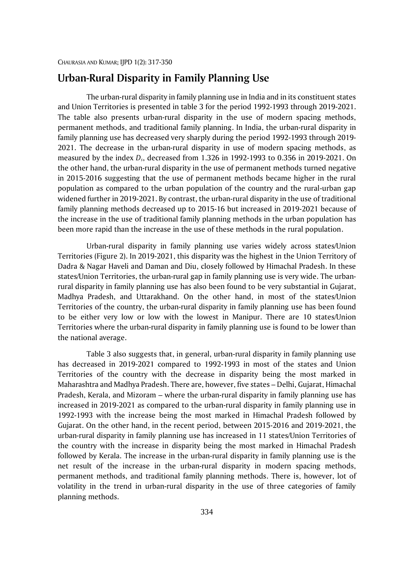# **Urban-Rural Disparity in Family Planning Use**

The urban-rural disparity in family planning use in India and in its constituent states and Union Territories is presented in table 3 for the period 1992-1993 through 2019-2021. The table also presents urban-rural disparity in the use of modern spacing methods, permanent methods, and traditional family planning. In India, the urban-rural disparity in family planning use has decreased very sharply during the period 1992-1993 through 2019- 2021. The decrease in the urban-rural disparity in use of modern spacing methods, as measured by the index *Ds*, decreased from 1.326 in 1992-1993 to 0.356 in 2019-2021. On the other hand, the urban-rural disparity in the use of permanent methods turned negative in 2015-2016 suggesting that the use of permanent methods became higher in the rural population as compared to the urban population of the country and the rural-urban gap widened further in 2019-2021. By contrast, the urban-rural disparity in the use of traditional family planning methods decreased up to 2015-16 but increased in 2019-2021 because of the increase in the use of traditional family planning methods in the urban population has been more rapid than the increase in the use of these methods in the rural population.

Urban-rural disparity in family planning use varies widely across states/Union Territories (Figure 2). In 2019-2021, this disparity was the highest in the Union Territory of Dadra & Nagar Haveli and Daman and Diu, closely followed by Himachal Pradesh. In these states/Union Territories, the urban-rural gap in family planning use is very wide. The urbanrural disparity in family planning use has also been found to be very substantial in Gujarat, Madhya Pradesh, and Uttarakhand. On the other hand, in most of the states/Union Territories of the country, the urban-rural disparity in family planning use has been found to be either very low or low with the lowest in Manipur. There are 10 states/Union Territories where the urban-rural disparity in family planning use is found to be lower than the national average.

Table 3 also suggests that, in general, urban-rural disparity in family planning use has decreased in 2019-2021 compared to 1992-1993 in most of the states and Union Territories of the country with the decrease in disparity being the most marked in Maharashtra and Madhya Pradesh. There are, however, five states – Delhi, Gujarat, Himachal Pradesh, Kerala, and Mizoram – where the urban-rural disparity in family planning use has increased in 2019-2021 as compared to the urban-rural disparity in family planning use in 1992-1993 with the increase being the most marked in Himachal Pradesh followed by Gujarat. On the other hand, in the recent period, between 2015-2016 and 2019-2021, the urban-rural disparity in family planning use has increased in 11 states/Union Territories of the country with the increase in disparity being the most marked in Himachal Pradesh followed by Kerala. The increase in the urban-rural disparity in family planning use is the net result of the increase in the urban-rural disparity in modern spacing methods, permanent methods, and traditional family planning methods. There is, however, lot of volatility in the trend in urban-rural disparity in the use of three categories of family planning methods.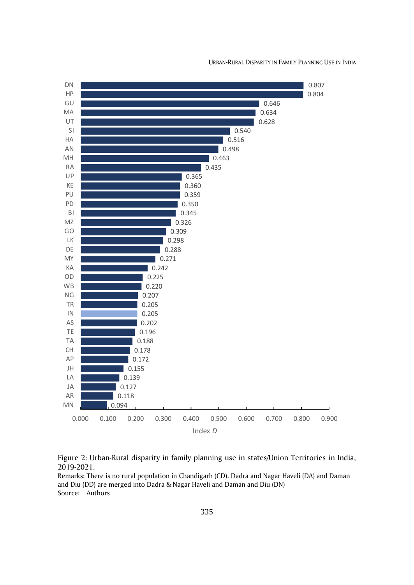

URBAN-RURAL DISPARITY IN FAMILY PLANNING USE IN INDIA



Remarks: There is no rural population in Chandigarh (CD). Dadra and Nagar Haveli (DA) and Daman and Diu (DD) are merged into Dadra & Nagar Haveli and Daman and Diu (DN) Source: Authors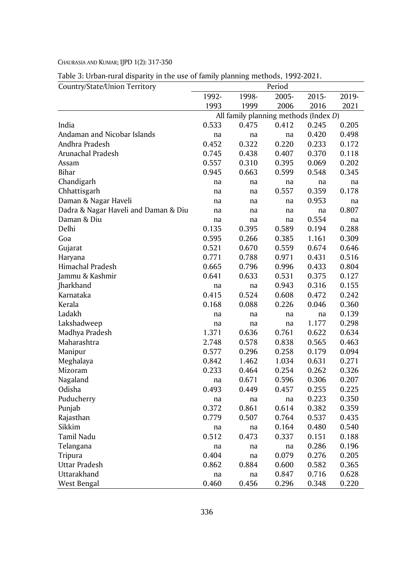Table 3: Urban-rural disparity in the use of family planning methods, 1992-2021.

| Country/State/Union Territory        |       |                                       | Period |       |       |
|--------------------------------------|-------|---------------------------------------|--------|-------|-------|
|                                      | 1992- | 1998-                                 | 2005-  | 2015- | 2019- |
|                                      | 1993  | 1999                                  | 2006   | 2016  | 2021  |
|                                      |       | All family planning methods (Index D) |        |       |       |
| India                                | 0.533 | 0.475                                 | 0.412  | 0.245 | 0.205 |
| Andaman and Nicobar Islands          | na    | na                                    | na     | 0.420 | 0.498 |
| Andhra Pradesh                       | 0.452 | 0.322                                 | 0.220  | 0.233 | 0.172 |
| Arunachal Pradesh                    | 0.745 | 0.438                                 | 0.407  | 0.370 | 0.118 |
| Assam                                | 0.557 | 0.310                                 | 0.395  | 0.069 | 0.202 |
| <b>Bihar</b>                         | 0.945 | 0.663                                 | 0.599  | 0.548 | 0.345 |
| Chandigarh                           | na    | na                                    | na     | na    | na    |
| Chhattisgarh                         | na    | na                                    | 0.557  | 0.359 | 0.178 |
| Daman & Nagar Haveli                 | na    | na                                    | na     | 0.953 | na    |
| Dadra & Nagar Haveli and Daman & Diu | na    | na                                    | na     | na    | 0.807 |
| Daman & Diu                          | na    | na                                    | na     | 0.554 | na    |
| Delhi                                | 0.135 | 0.395                                 | 0.589  | 0.194 | 0.288 |
| Goa                                  | 0.595 | 0.266                                 | 0.385  | 1.161 | 0.309 |
| Gujarat                              | 0.521 | 0.670                                 | 0.559  | 0.674 | 0.646 |
| Haryana                              | 0.771 | 0.788                                 | 0.971  | 0.431 | 0.516 |
| Himachal Pradesh                     | 0.665 | 0.796                                 | 0.996  | 0.433 | 0.804 |
| Jammu & Kashmir                      | 0.641 | 0.633                                 | 0.531  | 0.375 | 0.127 |
| Jharkhand                            | na    | na                                    | 0.943  | 0.316 | 0.155 |
| Karnataka                            | 0.415 | 0.524                                 | 0.608  | 0.472 | 0.242 |
| Kerala                               | 0.168 | 0.088                                 | 0.226  | 0.046 | 0.360 |
| Ladakh                               | na    | na                                    | na     | na    | 0.139 |
| Lakshadweep                          | na    | na                                    | na     | 1.177 | 0.298 |
| Madhya Pradesh                       | 1.371 | 0.636                                 | 0.761  | 0.622 | 0.634 |
| Maharashtra                          | 2.748 | 0.578                                 | 0.838  | 0.565 | 0.463 |
| Manipur                              | 0.577 | 0.296                                 | 0.258  | 0.179 | 0.094 |
| Meghalaya                            | 0.842 | 1.462                                 | 1.034  | 0.631 | 0.271 |
| Mizoram                              | 0.233 | 0.464                                 | 0.254  | 0.262 | 0.326 |
| Nagaland                             | na    | 0.671                                 | 0.596  | 0.306 | 0.207 |
| Odisha                               | 0.493 | 0.449                                 | 0.457  | 0.255 | 0.225 |
| Puducherry                           | na    | na                                    | na     | 0.223 | 0.350 |
| Punjab                               | 0.372 | 0.861                                 | 0.614  | 0.382 | 0.359 |
| Rajasthan                            | 0.779 | 0.507                                 | 0.764  | 0.537 | 0.435 |
| Sikkim                               | na    | na                                    | 0.164  | 0.480 | 0.540 |
| Tamil Nadu                           | 0.512 | 0.473                                 | 0.337  | 0.151 | 0.188 |
| Telangana                            | na    | na                                    | na     | 0.286 | 0.196 |
| Tripura                              | 0.404 | na                                    | 0.079  | 0.276 | 0.205 |
| <b>Uttar Pradesh</b>                 | 0.862 | 0.884                                 | 0.600  | 0.582 | 0.365 |
| Uttarakhand                          | na    | na                                    | 0.847  | 0.716 | 0.628 |
| West Bengal                          | 0.460 | 0.456                                 | 0.296  | 0.348 | 0.220 |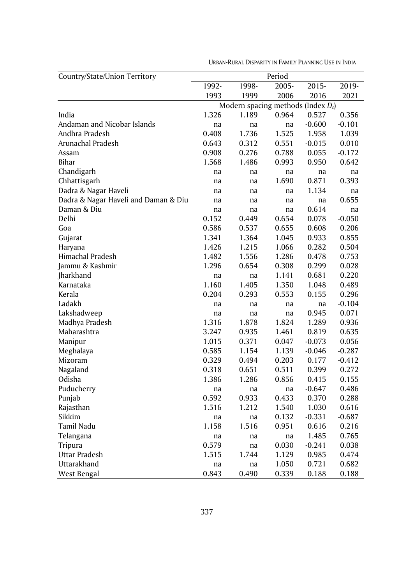| Country/State/Union Territory        | Period |                                       |       |          |          |  |  |
|--------------------------------------|--------|---------------------------------------|-------|----------|----------|--|--|
|                                      | 1992-  | 1998-                                 | 2005- | 2015-    | 2019-    |  |  |
|                                      | 1993   | 1999                                  | 2006  | 2016     | 2021     |  |  |
|                                      |        | Modern spacing methods (Index $D_s$ ) |       |          |          |  |  |
| India                                | 1.326  | 1.189                                 | 0.964 | 0.527    | 0.356    |  |  |
| Andaman and Nicobar Islands          | na     | na                                    | na    | $-0.600$ | -0.101   |  |  |
| Andhra Pradesh                       | 0.408  | 1.736                                 | 1.525 | 1.958    | 1.039    |  |  |
| Arunachal Pradesh                    | 0.643  | 0.312                                 | 0.551 | $-0.015$ | 0.010    |  |  |
| Assam                                | 0.908  | 0.276                                 | 0.788 | 0.055    | $-0.172$ |  |  |
| Bihar                                | 1.568  | 1.486                                 | 0.993 | 0.950    | 0.642    |  |  |
| Chandigarh                           | na     | na                                    | na    | na       | na       |  |  |
| Chhattisgarh                         | na     | na                                    | 1.690 | 0.871    | 0.393    |  |  |
| Dadra & Nagar Haveli                 | na     | na                                    | na    | 1.134    | na       |  |  |
| Dadra & Nagar Haveli and Daman & Diu | na     | na                                    | na    | na       | 0.655    |  |  |
| Daman & Diu                          | na     | na                                    | na    | 0.614    | na       |  |  |
| Delhi                                | 0.152  | 0.449                                 | 0.654 | 0.078    | $-0.050$ |  |  |
| Goa                                  | 0.586  | 0.537                                 | 0.655 | 0.608    | 0.206    |  |  |
| Gujarat                              | 1.341  | 1.364                                 | 1.045 | 0.933    | 0.855    |  |  |
| Haryana                              | 1.426  | 1.215                                 | 1.066 | 0.282    | 0.504    |  |  |
| Himachal Pradesh                     | 1.482  | 1.556                                 | 1.286 | 0.478    | 0.753    |  |  |
| Jammu & Kashmir                      | 1.296  | 0.654                                 | 0.308 | 0.299    | 0.028    |  |  |
| Jharkhand                            | na     | na                                    | 1.141 | 0.681    | 0.220    |  |  |
| Karnataka                            | 1.160  | 1.405                                 | 1.350 | 1.048    | 0.489    |  |  |
| Kerala                               | 0.204  | 0.293                                 | 0.553 | 0.155    | 0.296    |  |  |
| Ladakh                               | na     | na                                    | na    | na       | -0.104   |  |  |
| Lakshadweep                          | na     | na                                    | na    | 0.945    | 0.071    |  |  |
| Madhya Pradesh                       | 1.316  | 1.878                                 | 1.824 | 1.289    | 0.936    |  |  |
| Maharashtra                          | 3.247  | 0.935                                 | 1.461 | 0.819    | 0.635    |  |  |
| Manipur                              | 1.015  | 0.371                                 | 0.047 | $-0.073$ | 0.056    |  |  |
| Meghalaya                            | 0.585  | 1.154                                 | 1.139 | $-0.046$ | -0.287   |  |  |
| Mizoram                              | 0.329  | 0.494                                 | 0.203 | 0.177    | $-0.412$ |  |  |
| Nagaland                             | 0.318  | 0.651                                 | 0.511 | 0.399    | 0.272    |  |  |
| Odisha                               | 1.386  | 1.286                                 | 0.856 | 0.415    | 0.155    |  |  |
| Puducherry                           | na     | na                                    | na    | $-0.647$ | 0.486    |  |  |
| Punjab                               | 0.592  | 0.933                                 | 0.433 | 0.370    | 0.288    |  |  |
| Rajasthan                            | 1.516  | 1.212                                 | 1.540 | 1.030    | 0.616    |  |  |
| Sikkim                               | na     | na                                    | 0.132 | $-0.331$ | $-0.687$ |  |  |
| Tamil Nadu                           | 1.158  | 1.516                                 | 0.951 | 0.616    | 0.216    |  |  |
| Telangana                            | na     | na                                    | na    | 1.485    | 0.765    |  |  |
| Tripura                              | 0.579  | na                                    | 0.030 | $-0.241$ | 0.038    |  |  |
| Uttar Pradesh                        | 1.515  | 1.744                                 | 1.129 | 0.985    | 0.474    |  |  |
| Uttarakhand                          | na     | na                                    | 1.050 | 0.721    | 0.682    |  |  |
| West Bengal                          | 0.843  | 0.490                                 | 0.339 | 0.188    | 0.188    |  |  |

URBAN-RURAL DISPARITY IN FAMILY PLANNING USE IN INDIA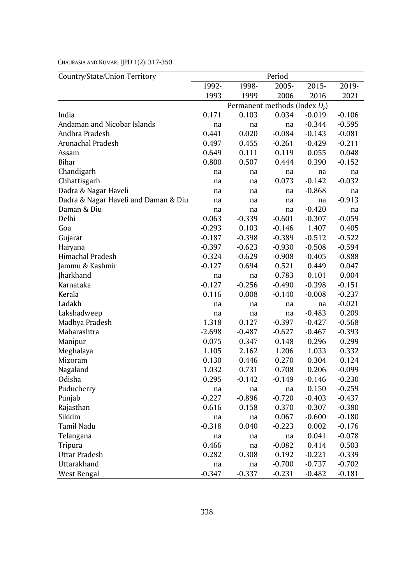| Country/State/Union Territory        | Period   |                                  |          |          |          |  |
|--------------------------------------|----------|----------------------------------|----------|----------|----------|--|
|                                      | 1992-    | 1998-                            | 2005-    | 2015-    | 2019-    |  |
|                                      | 1993     | 1999                             | 2006     | 2016     | 2021     |  |
|                                      |          | Permanent methods (Index $D_p$ ) |          |          |          |  |
| India                                | 0.171    | 0.103                            | 0.034    | $-0.019$ | $-0.106$ |  |
| Andaman and Nicobar Islands          | na       | na                               | na       | $-0.344$ | $-0.595$ |  |
| Andhra Pradesh                       | 0.441    | 0.020                            | $-0.084$ | $-0.143$ | $-0.081$ |  |
| Arunachal Pradesh                    | 0.497    | 0.455                            | $-0.261$ | $-0.429$ | $-0.211$ |  |
| Assam                                | 0.649    | 0.111                            | 0.119    | 0.055    | 0.048    |  |
| Bihar                                | 0.800    | 0.507                            | 0.444    | 0.390    | $-0.152$ |  |
| Chandigarh                           | na       | na                               | na       | na       | na       |  |
| Chhattisgarh                         | na       | na                               | 0.073    | $-0.142$ | $-0.032$ |  |
| Dadra & Nagar Haveli                 | na       | na                               | na       | $-0.868$ | na       |  |
| Dadra & Nagar Haveli and Daman & Diu | na       | na                               | na       | na       | $-0.913$ |  |
| Daman & Diu                          | na       | na                               | na       | $-0.420$ | na       |  |
| Delhi                                | 0.063    | $-0.339$                         | $-0.601$ | $-0.307$ | $-0.059$ |  |
| Goa                                  | $-0.293$ | 0.103                            | $-0.146$ | 1.407    | 0.405    |  |
| Gujarat                              | -0.187   | $-0.398$                         | $-0.389$ | $-0.512$ | $-0.522$ |  |
| Haryana                              | -0.397   | $-0.623$                         | $-0.930$ | $-0.508$ | $-0.594$ |  |
| Himachal Pradesh                     | -0.324   | $-0.629$                         | $-0.908$ | $-0.405$ | $-0.888$ |  |
| Jammu & Kashmir                      | -0.127   | 0.694                            | 0.521    | 0.449    | 0.047    |  |
| Jharkhand                            | na       | na                               | 0.783    | 0.101    | 0.004    |  |
| Karnataka                            | $-0.127$ | $-0.256$                         | $-0.490$ | $-0.398$ | $-0.151$ |  |
| Kerala                               | 0.116    | 0.008                            | $-0.140$ | $-0.008$ | $-0.237$ |  |
| Ladakh                               | na       | na                               | na       | na       | $-0.021$ |  |
| Lakshadweep                          | na       | na                               | na       | $-0.483$ | 0.209    |  |
| Madhya Pradesh                       | 1.318    | 0.127                            | -0.397   | $-0.427$ | $-0.568$ |  |
| Maharashtra                          | -2.698   | $-0.487$                         | $-0.627$ | $-0.467$ | $-0.393$ |  |
| Manipur                              | 0.075    | 0.347                            | 0.148    | 0.296    | 0.299    |  |
| Meghalaya                            | 1.105    | 2.162                            | 1.206    | 1.033    | 0.332    |  |
| Mizoram                              | 0.130    | 0.446                            | 0.270    | 0.304    | 0.124    |  |
| Nagaland                             | 1.032    | 0.731                            | 0.708    | 0.206    | $-0.099$ |  |
| Odisha                               | 0.295    | $-0.142$                         | $-0.149$ | $-0.146$ | $-0.230$ |  |
| Puducherry                           | na       | na                               | na       | 0.150    | $-0.259$ |  |
| Punjab                               | $-0.227$ | $-0.896$                         | $-0.720$ | $-0.403$ | $-0.437$ |  |
| Rajasthan                            | 0.616    | 0.158                            | 0.370    | $-0.307$ | $-0.380$ |  |
| Sikkim                               | na       | na                               | 0.067    | $-0.600$ | $-0.180$ |  |
| Tamil Nadu                           | $-0.318$ | 0.040                            | $-0.223$ | 0.002    | $-0.176$ |  |
| Telangana                            | na       | na                               | na       | 0.041    | $-0.078$ |  |
| Tripura                              | 0.466    | na                               | $-0.082$ | 0.414    | 0.503    |  |
| Uttar Pradesh                        | 0.282    | 0.308                            | 0.192    | $-0.221$ | $-0.339$ |  |
| Uttarakhand                          | na       | na                               | -0.700   | $-0.737$ | $-0.702$ |  |
| West Bengal                          | $-0.347$ | $-0.337$                         | $-0.231$ | $-0.482$ | $-0.181$ |  |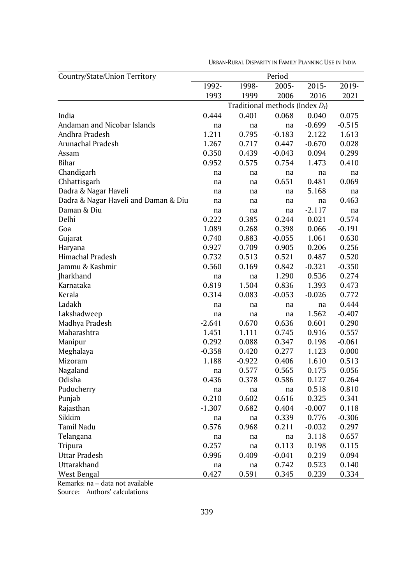| Country/State/Union Territory        |          |                                    | Period   |          |          |
|--------------------------------------|----------|------------------------------------|----------|----------|----------|
|                                      | 1992-    | 1998-                              | 2005-    | 2015-    | 2019-    |
|                                      | 1993     | 1999                               | 2006     | 2016     | 2021     |
|                                      |          | Traditional methods (Index $D_t$ ) |          |          |          |
| India                                | 0.444    | 0.401                              | 0.068    | 0.040    | 0.075    |
| Andaman and Nicobar Islands          | na       | na                                 | na       | -0.699   | $-0.515$ |
| Andhra Pradesh                       | 1.211    | 0.795                              | $-0.183$ | 2.122    | 1.613    |
| Arunachal Pradesh                    | 1.267    | 0.717                              | 0.447    | $-0.670$ | 0.028    |
| Assam                                | 0.350    | 0.439                              | $-0.043$ | 0.094    | 0.299    |
| Bihar                                | 0.952    | 0.575                              | 0.754    | 1.473    | 0.410    |
| Chandigarh                           | na       | na                                 | na       | na       | na       |
| Chhattisgarh                         | na       | na                                 | 0.651    | 0.481    | 0.069    |
| Dadra & Nagar Haveli                 | na       | na                                 | na       | 5.168    | na       |
| Dadra & Nagar Haveli and Daman & Diu | na       | na                                 | na       | na       | 0.463    |
| Daman & Diu                          | na       | na                                 | na       | $-2.117$ | na       |
| Delhi                                | 0.222    | 0.385                              | 0.244    | 0.021    | 0.574    |
| Goa                                  | 1.089    | 0.268                              | 0.398    | 0.066    | -0.191   |
| Gujarat                              | 0.740    | 0.883                              | $-0.055$ | 1.061    | 0.630    |
| Haryana                              | 0.927    | 0.709                              | 0.905    | 0.206    | 0.256    |
| Himachal Pradesh                     | 0.732    | 0.513                              | 0.521    | 0.487    | 0.520    |
| Jammu & Kashmir                      | 0.560    | 0.169                              | 0.842    | $-0.321$ | $-0.350$ |
| Jharkhand                            | na       | na                                 | 1.290    | 0.536    | 0.274    |
| Karnataka                            | 0.819    | 1.504                              | 0.836    | 1.393    | 0.473    |
| Kerala                               | 0.314    | 0.083                              | $-0.053$ | -0.026   | 0.772    |
| Ladakh                               | na       | na                                 | na       | na       | 0.444    |
| Lakshadweep                          | na       | na                                 | na       | 1.562    | $-0.407$ |
| Madhya Pradesh                       | $-2.641$ | 0.670                              | 0.636    | 0.601    | 0.290    |
| Maharashtra                          | 1.451    | 1.111                              | 0.745    | 0.916    | 0.557    |
| Manipur                              | 0.292    | 0.088                              | 0.347    | 0.198    | $-0.061$ |
| Meghalaya                            | $-0.358$ | 0.420                              | 0.277    | 1.123    | 0.000    |
| Mizoram                              | 1.188    | $-0.922$                           | 0.406    | 1.610    | 0.513    |
| Nagaland                             | na       | 0.577                              | 0.565    | 0.175    | 0.056    |
| Odisha                               | 0.436    | 0.378                              | 0.586    | 0.127    | 0.264    |
| Puducherry                           | na       | na                                 | na       | 0.518    | 0.810    |
| Punjab                               | 0.210    | 0.602                              | 0.616    | 0.325    | 0.341    |
| Rajasthan                            | $-1.307$ | 0.682                              | 0.404    | -0.007   | 0.118    |
| Sikkim                               | na       | na                                 | 0.339    | 0.776    | $-0.306$ |
| Tamil Nadu                           | 0.576    | 0.968                              | 0.211    | $-0.032$ | 0.297    |
| Telangana                            | na       | na                                 | na       | 3.118    | 0.657    |
| Tripura                              | 0.257    | na                                 | 0.113    | 0.198    | 0.115    |
| Uttar Pradesh                        | 0.996    | 0.409                              | $-0.041$ | 0.219    | 0.094    |
| Uttarakhand                          | na       | na                                 | 0.742    | 0.523    | 0.140    |
| West Bengal                          | 0.427    | 0.591                              | 0.345    | 0.239    | 0.334    |

URBAN-RURAL DISPARITY IN FAMILY PLANNING USE IN INDIA

Remarks: na – data not available

Source: Authors' calculations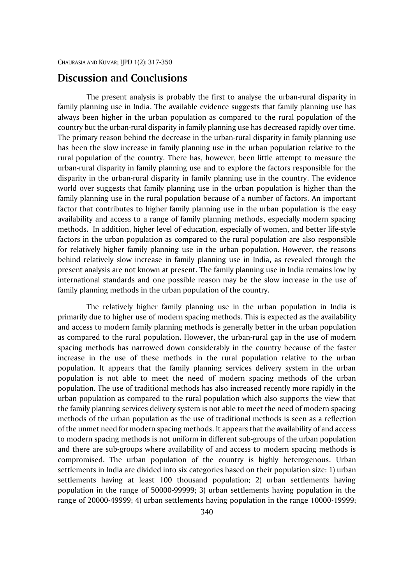### **Discussion and Conclusions**

The present analysis is probably the first to analyse the urban-rural disparity in family planning use in India. The available evidence suggests that family planning use has always been higher in the urban population as compared to the rural population of the country but the urban-rural disparity in family planning use has decreased rapidly over time. The primary reason behind the decrease in the urban-rural disparity in family planning use has been the slow increase in family planning use in the urban population relative to the rural population of the country. There has, however, been little attempt to measure the urban-rural disparity in family planning use and to explore the factors responsible for the disparity in the urban-rural disparity in family planning use in the country. The evidence world over suggests that family planning use in the urban population is higher than the family planning use in the rural population because of a number of factors. An important factor that contributes to higher family planning use in the urban population is the easy availability and access to a range of family planning methods, especially modern spacing methods. In addition, higher level of education, especially of women, and better life-style factors in the urban population as compared to the rural population are also responsible for relatively higher family planning use in the urban population. However, the reasons behind relatively slow increase in family planning use in India, as revealed through the present analysis are not known at present. The family planning use in India remains low by international standards and one possible reason may be the slow increase in the use of family planning methods in the urban population of the country.

The relatively higher family planning use in the urban population in India is primarily due to higher use of modern spacing methods. This is expected as the availability and access to modern family planning methods is generally better in the urban population as compared to the rural population. However, the urban-rural gap in the use of modern spacing methods has narrowed down considerably in the country because of the faster increase in the use of these methods in the rural population relative to the urban population. It appears that the family planning services delivery system in the urban population is not able to meet the need of modern spacing methods of the urban population. The use of traditional methods has also increased recently more rapidly in the urban population as compared to the rural population which also supports the view that the family planning services delivery system is not able to meet the need of modern spacing methods of the urban population as the use of traditional methods is seen as a reflection of the unmet need for modern spacing methods. It appears that the availability of and access to modern spacing methods is not uniform in different sub-groups of the urban population and there are sub-groups where availability of and access to modern spacing methods is compromised. The urban population of the country is highly heterogenous. Urban settlements in India are divided into six categories based on their population size: 1) urban settlements having at least 100 thousand population; 2) urban settlements having population in the range of 50000-99999; 3) urban settlements having population in the range of 20000-49999; 4) urban settlements having population in the range 10000-19999;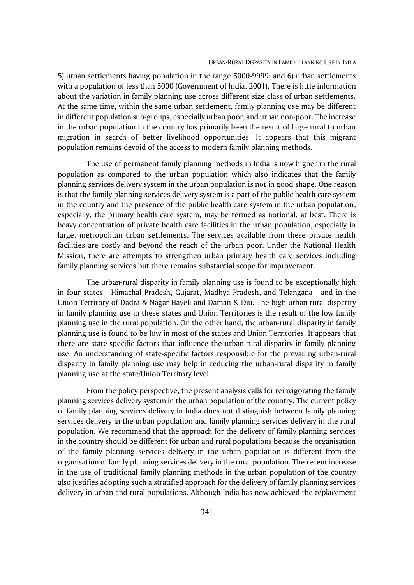5) urban settlements having population in the range 5000-9999; and 6) urban settlements with a population of less than 5000 (Government of India, 2001). There is little information about the variation in family planning use across different size class of urban settlements. At the same time, within the same urban settlement, family planning use may be different in different population sub-groups, especially urban poor, and urban non-poor. The increase in the urban population in the country has primarily been the result of large rural to urban migration in search of better livelihood opportunities. It appears that this migrant population remains devoid of the access to modern family planning methods.

The use of permanent family planning methods in India is now higher in the rural population as compared to the urban population which also indicates that the family planning services delivery system in the urban population is not in good shape. One reason is that the family planning services delivery system is a part of the public health care system in the country and the presence of the public health care system in the urban population, especially, the primary health care system, may be termed as notional, at best. There is heavy concentration of private health care facilities in the urban population, especially in large, metropolitan urban settlements. The services available from these private health facilities are costly and beyond the reach of the urban poor. Under the National Health Mission, there are attempts to strengthen urban primary health care services including family planning services but there remains substantial scope for improvement.

The urban-rural disparity in family planning use is found to be exceptionally high in four states - Himachal Pradesh, Gujarat, Madhya Pradesh, and Telangana - and in the Union Territory of Dadra & Nagar Haveli and Daman & Diu. The high urban-rural disparity in family planning use in these states and Union Territories is the result of the low family planning use in the rural population. On the other hand, the urban-rural disparity in family planning use is found to be low in most of the states and Union Territories. It appears that there are state-specific factors that influence the urban-rural disparity in family planning use. An understanding of state-specific factors responsible for the prevailing urban-rural disparity in family planning use may help in reducing the urban-rural disparity in family planning use at the state/Union Territory level.

From the policy perspective, the present analysis calls for reinvigorating the family planning services delivery system in the urban population of the country. The current policy of family planning services delivery in India does not distinguish between family planning services delivery in the urban population and family planning services delivery in the rural population. We recommend that the approach for the delivery of family planning services in the country should be different for urban and rural populations because the organisation of the family planning services delivery in the urban population is different from the organisation of family planning services delivery in the rural population. The recent increase in the use of traditional family planning methods in the urban population of the country also justifies adopting such a stratified approach for the delivery of family planning services delivery in urban and rural populations. Although India has now achieved the replacement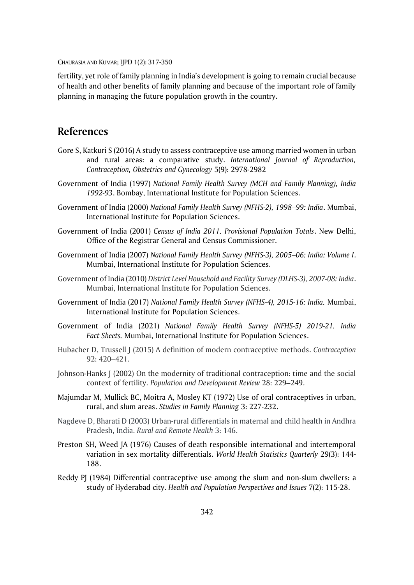fertility, yet role of family planning in India's development is going to remain crucial because of health and other benefits of family planning and because of the important role of family planning in managing the future population growth in the country.

# **References**

- Gore S, Katkuri S (2016) A study to assess contraceptive use among married women in urban and rural areas: a comparative study. *International Journal of Reproduction, Contraception, Obstetrics and Gynecology* 5(9): 2978-2982
- Government of India (1997) *National Family Health Survey (MCH and Family Planning), India 1992-93*. Bombay, International Institute for Population Sciences.
- Government of India (2000) *National Family Health Survey (NFHS-2), 1998–99: India*. Mumbai, International Institute for Population Sciences.
- Government of India (2001) *Census of India 2011. Provisional Population Totals*. New Delhi, Office of the Registrar General and Census Commissioner.
- Government of India (2007) *National Family Health Survey (NFHS-3), 2005–06: India: Volume I*. Mumbai, International Institute for Population Sciences.
- Government of India (2010) *District Level Household and Facility Survey (DLHS-3), 2007-08: India*. Mumbai, International Institute for Population Sciences.
- Government of India (2017) *National Family Health Survey (NFHS-4), 2015-16: India.* Mumbai, International Institute for Population Sciences.
- Government of India (2021) *National Family Health Survey (NFHS-5) 2019-21. India Fact Sheets.* Mumbai, International Institute for Population Sciences.
- Hubacher D, Trussell J (2015) A definition of modern contraceptive methods. *Contraception* 92: 420–421.
- Johnson-Hanks J (2002) On the modernity of traditional contraception: time and the social context of fertility. *Population and Development Review* 28: 229–249.
- Majumdar M, Mullick BC, Moitra A, Mosley KT (1972) Use of oral contraceptives in urban, rural, and slum areas. *Studies in Family Planning* 3: 227-232.
- Nagdeve D, Bharati D (2003) Urban-rural differentials in maternal and child health in Andhra Pradesh, India. *Rural and Remote Health* 3: 146.
- Preston SH, Weed JA (1976) Causes of death responsible international and intertemporal variation in sex mortality differentials. *World Health Statistics Quarterly* 29(3): 144- 188.
- Reddy PJ (1984) Differential contraceptive use among the slum and non-slum dwellers: a study of Hyderabad city. *Health and Population Perspectives and Issues* 7(2): 115-28.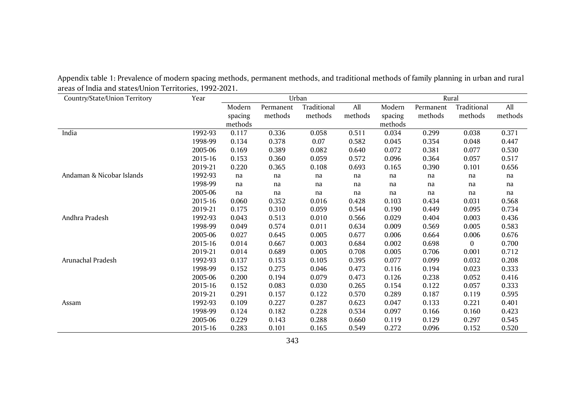| Country/State/Union Territory | Year    | Urban   |           |             |         |         | Rural     |             |         |
|-------------------------------|---------|---------|-----------|-------------|---------|---------|-----------|-------------|---------|
|                               |         | Modern  | Permanent | Traditional | All     | Modern  | Permanent | Traditional | All     |
|                               |         | spacing | methods   | methods     | methods | spacing | methods   | methods     | methods |
|                               |         | methods |           |             |         | methods |           |             |         |
| India                         | 1992-93 | 0.117   | 0.336     | 0.058       | 0.511   | 0.034   | 0.299     | 0.038       | 0.371   |
|                               | 1998-99 | 0.134   | 0.378     | 0.07        | 0.582   | 0.045   | 0.354     | 0.048       | 0.447   |
|                               | 2005-06 | 0.169   | 0.389     | 0.082       | 0.640   | 0.072   | 0.381     | 0.077       | 0.530   |
|                               | 2015-16 | 0.153   | 0.360     | 0.059       | 0.572   | 0.096   | 0.364     | 0.057       | 0.517   |
|                               | 2019-21 | 0.220   | 0.365     | 0.108       | 0.693   | 0.165   | 0.390     | 0.101       | 0.656   |
| Andaman & Nicobar Islands     | 1992-93 | na      | na        | na          | na      | na      | na        | na          | na      |
|                               | 1998-99 | na      | na        | na          | na      | na      | na        | na          | na      |
|                               | 2005-06 | na      | na        | na          | na      | na      | na        | na          | na      |
|                               | 2015-16 | 0.060   | 0.352     | 0.016       | 0.428   | 0.103   | 0.434     | 0.031       | 0.568   |
|                               | 2019-21 | 0.175   | 0.310     | 0.059       | 0.544   | 0.190   | 0.449     | 0.095       | 0.734   |
| Andhra Pradesh                | 1992-93 | 0.043   | 0.513     | 0.010       | 0.566   | 0.029   | 0.404     | 0.003       | 0.436   |
|                               | 1998-99 | 0.049   | 0.574     | 0.011       | 0.634   | 0.009   | 0.569     | 0.005       | 0.583   |
|                               | 2005-06 | 0.027   | 0.645     | 0.005       | 0.677   | 0.006   | 0.664     | 0.006       | 0.676   |
|                               | 2015-16 | 0.014   | 0.667     | 0.003       | 0.684   | 0.002   | 0.698     | 0           | 0.700   |
|                               | 2019-21 | 0.014   | 0.689     | 0.005       | 0.708   | 0.005   | 0.706     | 0.001       | 0.712   |
| Arunachal Pradesh             | 1992-93 | 0.137   | 0.153     | 0.105       | 0.395   | 0.077   | 0.099     | 0.032       | 0.208   |
|                               | 1998-99 | 0.152   | 0.275     | 0.046       | 0.473   | 0.116   | 0.194     | 0.023       | 0.333   |
|                               | 2005-06 | 0.200   | 0.194     | 0.079       | 0.473   | 0.126   | 0.238     | 0.052       | 0.416   |
|                               | 2015-16 | 0.152   | 0.083     | 0.030       | 0.265   | 0.154   | 0.122     | 0.057       | 0.333   |
|                               | 2019-21 | 0.291   | 0.157     | 0.122       | 0.570   | 0.289   | 0.187     | 0.119       | 0.595   |
| Assam                         | 1992-93 | 0.109   | 0.227     | 0.287       | 0.623   | 0.047   | 0.133     | 0.221       | 0.401   |
|                               | 1998-99 | 0.124   | 0.182     | 0.228       | 0.534   | 0.097   | 0.166     | 0.160       | 0.423   |
|                               | 2005-06 | 0.229   | 0.143     | 0.288       | 0.660   | 0.119   | 0.129     | 0.297       | 0.545   |
|                               | 2015-16 | 0.283   | 0.101     | 0.165       | 0.549   | 0.272   | 0.096     | 0.152       | 0.520   |

Appendix table 1: Prevalence of modern spacing methods, permanent methods, and traditional methods of family planning in urban and rural areas of India and states/Union Territories, 1992-2021.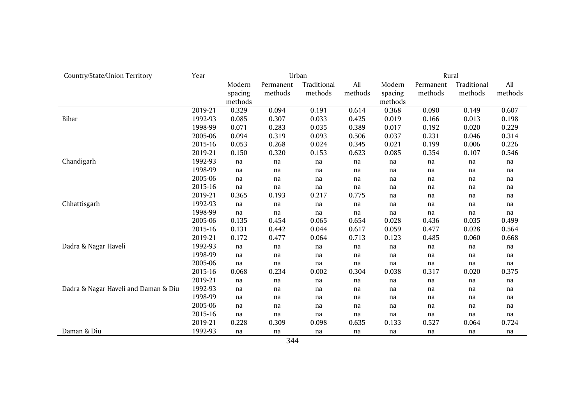| Country/State/Union Territory        | Year    |         |           | Urban       |         | Rural   |           |             |         |  |
|--------------------------------------|---------|---------|-----------|-------------|---------|---------|-----------|-------------|---------|--|
|                                      |         | Modern  | Permanent | Traditional | All     | Modern  | Permanent | Traditional | All     |  |
|                                      |         | spacing | methods   | methods     | methods | spacing | methods   | methods     | methods |  |
|                                      |         | methods |           |             |         | methods |           |             |         |  |
|                                      | 2019-21 | 0.329   | 0.094     | 0.191       | 0.614   | 0.368   | 0.090     | 0.149       | 0.607   |  |
| Bihar                                | 1992-93 | 0.085   | 0.307     | 0.033       | 0.425   | 0.019   | 0.166     | 0.013       | 0.198   |  |
|                                      | 1998-99 | 0.071   | 0.283     | 0.035       | 0.389   | 0.017   | 0.192     | 0.020       | 0.229   |  |
|                                      | 2005-06 | 0.094   | 0.319     | 0.093       | 0.506   | 0.037   | 0.231     | 0.046       | 0.314   |  |
|                                      | 2015-16 | 0.053   | 0.268     | 0.024       | 0.345   | 0.021   | 0.199     | 0.006       | 0.226   |  |
|                                      | 2019-21 | 0.150   | 0.320     | 0.153       | 0.623   | 0.085   | 0.354     | 0.107       | 0.546   |  |
| Chandigarh                           | 1992-93 | na      | na        | na          | na      | na      | na        | na          | na      |  |
|                                      | 1998-99 | na      | na        | na          | na      | na      | na        | na          | na      |  |
|                                      | 2005-06 | na      | na        | na          | na      | na      | na        | na          | na      |  |
|                                      | 2015-16 | na      | na        | na          | na      | na      | na        | na          | na      |  |
|                                      | 2019-21 | 0.365   | 0.193     | 0.217       | 0.775   | na      | na        | na          | na      |  |
| Chhattisgarh                         | 1992-93 | na      | na        | na          | na      | na      | na        | na          | na      |  |
|                                      | 1998-99 | na      | na        | na          | na      | na      | na        | na          | na      |  |
|                                      | 2005-06 | 0.135   | 0.454     | 0.065       | 0.654   | 0.028   | 0.436     | 0.035       | 0.499   |  |
|                                      | 2015-16 | 0.131   | 0.442     | 0.044       | 0.617   | 0.059   | 0.477     | 0.028       | 0.564   |  |
|                                      | 2019-21 | 0.172   | 0.477     | 0.064       | 0.713   | 0.123   | 0.485     | 0.060       | 0.668   |  |
| Dadra & Nagar Haveli                 | 1992-93 | na      | na        | na          | na      | na      | na        | na          | na      |  |
|                                      | 1998-99 | na      | na        | na          | na      | na      | na        | na          | na      |  |
|                                      | 2005-06 | na      | na        | na          | na      | na      | na        | na          | na      |  |
|                                      | 2015-16 | 0.068   | 0.234     | 0.002       | 0.304   | 0.038   | 0.317     | 0.020       | 0.375   |  |
|                                      | 2019-21 | na      | na        | na          | na      | na      | na        | na          | na      |  |
| Dadra & Nagar Haveli and Daman & Diu | 1992-93 | na      | na        | na          | na      | na      | na        | na          | na      |  |
|                                      | 1998-99 | na      | na        | na          | na      | na      | na        | na          | na      |  |
|                                      | 2005-06 | na      | na        | na          | na      | na      | na        | na          | na      |  |
|                                      | 2015-16 | na      | na        | na          | na      | na      | na        | na          | na      |  |
|                                      | 2019-21 | 0.228   | 0.309     | 0.098       | 0.635   | 0.133   | 0.527     | 0.064       | 0.724   |  |
| Daman & Diu                          | 1992-93 | na      | na        | na          | na      | na      | na        | na          | na      |  |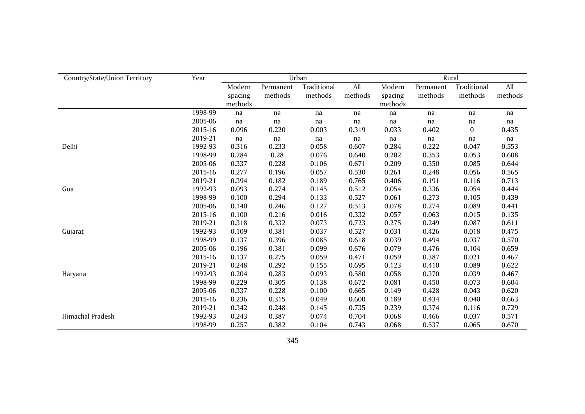| Country/State/Union Territory | Year    |                              |                      | Urban                  |                | Rural                        |                      |                        |                |  |  |
|-------------------------------|---------|------------------------------|----------------------|------------------------|----------------|------------------------------|----------------------|------------------------|----------------|--|--|
|                               |         | Modern<br>spacing<br>methods | Permanent<br>methods | Traditional<br>methods | All<br>methods | Modern<br>spacing<br>methods | Permanent<br>methods | Traditional<br>methods | All<br>methods |  |  |
|                               | 1998-99 | na                           | na                   | na                     | na             | na                           | na                   | na                     | na             |  |  |
|                               | 2005-06 | na                           | na                   | na                     | na             | na                           | na                   | na                     | na             |  |  |
|                               | 2015-16 | 0.096                        | 0.220                | 0.003                  | 0.319          | 0.033                        | 0.402                | $\bf{0}$               | 0.435          |  |  |
|                               | 2019-21 | na                           | na                   | na                     | na             | na                           | na                   | na                     | na             |  |  |
| Delhi                         | 1992-93 | 0.316                        | 0.233                | 0.058                  | 0.607          | 0.284                        | 0.222                | 0.047                  | 0.553          |  |  |
|                               | 1998-99 | 0.284                        | 0.28                 | 0.076                  | 0.640          | 0.202                        | 0.353                | 0.053                  | 0.608          |  |  |
|                               | 2005-06 | 0.337                        | 0.228                | 0.106                  | 0.671          | 0.209                        | 0.350                | 0.085                  | 0.644          |  |  |
|                               | 2015-16 | 0.277                        | 0.196                | 0.057                  | 0.530          | 0.261                        | 0.248                | 0.056                  | 0.565          |  |  |
|                               | 2019-21 | 0.394                        | 0.182                | 0.189                  | 0.765          | 0.406                        | 0.191                | 0.116                  | 0.713          |  |  |
| Goa                           | 1992-93 | 0.093                        | 0.274                | 0.145                  | 0.512          | 0.054                        | 0.336                | 0.054                  | 0.444          |  |  |
|                               | 1998-99 | 0.100                        | 0.294                | 0.133                  | 0.527          | 0.061                        | 0.273                | 0.105                  | 0.439          |  |  |
|                               | 2005-06 | 0.140                        | 0.246                | 0.127                  | 0.513          | 0.078                        | 0.274                | 0.089                  | 0.441          |  |  |
|                               | 2015-16 | 0.100                        | 0.216                | 0.016                  | 0.332          | 0.057                        | 0.063                | 0.015                  | 0.135          |  |  |
|                               | 2019-21 | 0.318                        | 0.332                | 0.073                  | 0.723          | 0.275                        | 0.249                | 0.087                  | 0.611          |  |  |
| Gujarat                       | 1992-93 | 0.109                        | 0.381                | 0.037                  | 0.527          | 0.031                        | 0.426                | 0.018                  | 0.475          |  |  |
|                               | 1998-99 | 0.137                        | 0.396                | 0.085                  | 0.618          | 0.039                        | 0.494                | 0.037                  | 0.570          |  |  |
|                               | 2005-06 | 0.196                        | 0.381                | 0.099                  | 0.676          | 0.079                        | 0.476                | 0.104                  | 0.659          |  |  |
|                               | 2015-16 | 0.137                        | 0.275                | 0.059                  | 0.471          | 0.059                        | 0.387                | 0.021                  | 0.467          |  |  |
|                               | 2019-21 | 0.248                        | 0.292                | 0.155                  | 0.695          | 0.123                        | 0.410                | 0.089                  | 0.622          |  |  |
| Haryana                       | 1992-93 | 0.204                        | 0.283                | 0.093                  | 0.580          | 0.058                        | 0.370                | 0.039                  | 0.467          |  |  |
|                               | 1998-99 | 0.229                        | 0.305                | 0.138                  | 0.672          | 0.081                        | 0.450                | 0.073                  | 0.604          |  |  |
|                               | 2005-06 | 0.337                        | 0.228                | 0.100                  | 0.665          | 0.149                        | 0.428                | 0.043                  | 0.620          |  |  |
|                               | 2015-16 | 0.236                        | 0.315                | 0.049                  | 0.600          | 0.189                        | 0.434                | 0.040                  | 0.663          |  |  |
|                               | 2019-21 | 0.342                        | 0.248                | 0.145                  | 0.735          | 0.239                        | 0.374                | 0.116                  | 0.729          |  |  |
| Himachal Pradesh              | 1992-93 | 0.243                        | 0.387                | 0.074                  | 0.704          | 0.068                        | 0.466                | 0.037                  | 0.571          |  |  |
|                               | 1998-99 | 0.257                        | 0.382                | 0.104                  | 0.743          | 0.068                        | 0.537                | 0.065                  | 0.670          |  |  |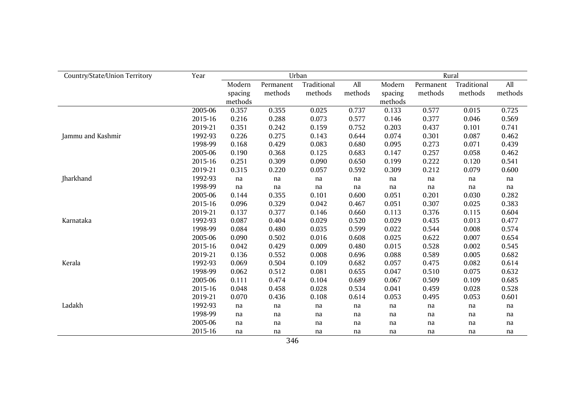| Country/State/Union Territory | Year    |         |           | Urban       |         | Rural   |           |             |         |  |
|-------------------------------|---------|---------|-----------|-------------|---------|---------|-----------|-------------|---------|--|
|                               |         | Modern  | Permanent | Traditional | All     | Modern  | Permanent | Traditional | All     |  |
|                               |         | spacing | methods   | methods     | methods | spacing | methods   | methods     | methods |  |
|                               |         | methods |           |             |         | methods |           |             |         |  |
|                               | 2005-06 | 0.357   | 0.355     | 0.025       | 0.737   | 0.133   | 0.577     | 0.015       | 0.725   |  |
|                               | 2015-16 | 0.216   | 0.288     | 0.073       | 0.577   | 0.146   | 0.377     | 0.046       | 0.569   |  |
|                               | 2019-21 | 0.351   | 0.242     | 0.159       | 0.752   | 0.203   | 0.437     | 0.101       | 0.741   |  |
| Jammu and Kashmir             | 1992-93 | 0.226   | 0.275     | 0.143       | 0.644   | 0.074   | 0.301     | 0.087       | 0.462   |  |
|                               | 1998-99 | 0.168   | 0.429     | 0.083       | 0.680   | 0.095   | 0.273     | 0.071       | 0.439   |  |
|                               | 2005-06 | 0.190   | 0.368     | 0.125       | 0.683   | 0.147   | 0.257     | 0.058       | 0.462   |  |
|                               | 2015-16 | 0.251   | 0.309     | 0.090       | 0.650   | 0.199   | 0.222     | 0.120       | 0.541   |  |
|                               | 2019-21 | 0.315   | 0.220     | 0.057       | 0.592   | 0.309   | 0.212     | 0.079       | 0.600   |  |
| Jharkhand                     | 1992-93 | na      | na        | na          | na      | na      | na        | na          | na      |  |
|                               | 1998-99 | na      | na        | na          | na      | na      | na        | na          | na      |  |
|                               | 2005-06 | 0.144   | 0.355     | 0.101       | 0.600   | 0.051   | 0.201     | 0.030       | 0.282   |  |
|                               | 2015-16 | 0.096   | 0.329     | 0.042       | 0.467   | 0.051   | 0.307     | 0.025       | 0.383   |  |
|                               | 2019-21 | 0.137   | 0.377     | 0.146       | 0.660   | 0.113   | 0.376     | 0.115       | 0.604   |  |
| Karnataka                     | 1992-93 | 0.087   | 0.404     | 0.029       | 0.520   | 0.029   | 0.435     | 0.013       | 0.477   |  |
|                               | 1998-99 | 0.084   | 0.480     | 0.035       | 0.599   | 0.022   | 0.544     | 0.008       | 0.574   |  |
|                               | 2005-06 | 0.090   | 0.502     | 0.016       | 0.608   | 0.025   | 0.622     | 0.007       | 0.654   |  |
|                               | 2015-16 | 0.042   | 0.429     | 0.009       | 0.480   | 0.015   | 0.528     | 0.002       | 0.545   |  |
|                               | 2019-21 | 0.136   | 0.552     | 0.008       | 0.696   | 0.088   | 0.589     | 0.005       | 0.682   |  |
| Kerala                        | 1992-93 | 0.069   | 0.504     | 0.109       | 0.682   | 0.057   | 0.475     | 0.082       | 0.614   |  |
|                               | 1998-99 | 0.062   | 0.512     | 0.081       | 0.655   | 0.047   | 0.510     | 0.075       | 0.632   |  |
|                               | 2005-06 | 0.111   | 0.474     | 0.104       | 0.689   | 0.067   | 0.509     | 0.109       | 0.685   |  |
|                               | 2015-16 | 0.048   | 0.458     | 0.028       | 0.534   | 0.041   | 0.459     | 0.028       | 0.528   |  |
|                               | 2019-21 | 0.070   | 0.436     | 0.108       | 0.614   | 0.053   | 0.495     | 0.053       | 0.601   |  |
| Ladakh                        | 1992-93 | na      | na        | na          | na      | na      | na        | na          | na      |  |
|                               | 1998-99 | na      | na        | na          | na      | na      | na        | na          | na      |  |
|                               | 2005-06 | na      | na        | na          | na      | na      | na        | na          | na      |  |
|                               | 2015-16 | na      | na        | na          | na      | na      | na        | na          | na      |  |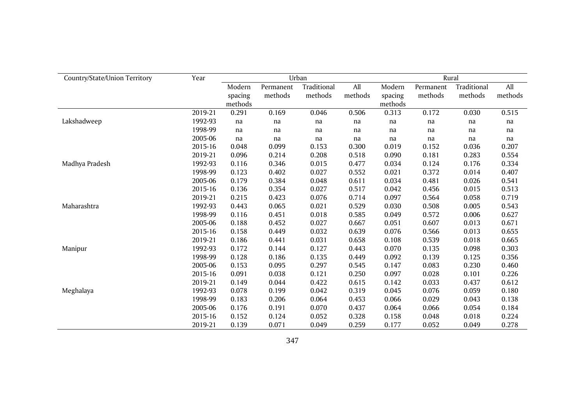| Country/State/Union Territory | Year    |         |           | Urban       |         | Rural   |           |             |         |  |
|-------------------------------|---------|---------|-----------|-------------|---------|---------|-----------|-------------|---------|--|
|                               |         | Modern  | Permanent | Traditional | All     | Modern  | Permanent | Traditional | All     |  |
|                               |         | spacing | methods   | methods     | methods | spacing | methods   | methods     | methods |  |
|                               |         | methods |           |             |         | methods |           |             |         |  |
|                               | 2019-21 | 0.291   | 0.169     | 0.046       | 0.506   | 0.313   | 0.172     | 0.030       | 0.515   |  |
| Lakshadweep                   | 1992-93 | na      | na        | na          | na      | na      | na        | na          | na      |  |
|                               | 1998-99 | na      | na        | na          | na      | na      | na        | na          | na      |  |
|                               | 2005-06 | na      | na        | na          | na      | na      | na        | na          | na      |  |
|                               | 2015-16 | 0.048   | 0.099     | 0.153       | 0.300   | 0.019   | 0.152     | 0.036       | 0.207   |  |
|                               | 2019-21 | 0.096   | 0.214     | 0.208       | 0.518   | 0.090   | 0.181     | 0.283       | 0.554   |  |
| Madhya Pradesh                | 1992-93 | 0.116   | 0.346     | 0.015       | 0.477   | 0.034   | 0.124     | 0.176       | 0.334   |  |
|                               | 1998-99 | 0.123   | 0.402     | 0.027       | 0.552   | 0.021   | 0.372     | 0.014       | 0.407   |  |
|                               | 2005-06 | 0.179   | 0.384     | 0.048       | 0.611   | 0.034   | 0.481     | 0.026       | 0.541   |  |
|                               | 2015-16 | 0.136   | 0.354     | 0.027       | 0.517   | 0.042   | 0.456     | 0.015       | 0.513   |  |
|                               | 2019-21 | 0.215   | 0.423     | 0.076       | 0.714   | 0.097   | 0.564     | 0.058       | 0.719   |  |
| Maharashtra                   | 1992-93 | 0.443   | 0.065     | 0.021       | 0.529   | 0.030   | 0.508     | 0.005       | 0.543   |  |
|                               | 1998-99 | 0.116   | 0.451     | 0.018       | 0.585   | 0.049   | 0.572     | 0.006       | 0.627   |  |
|                               | 2005-06 | 0.188   | 0.452     | 0.027       | 0.667   | 0.051   | 0.607     | 0.013       | 0.671   |  |
|                               | 2015-16 | 0.158   | 0.449     | 0.032       | 0.639   | 0.076   | 0.566     | 0.013       | 0.655   |  |
|                               | 2019-21 | 0.186   | 0.441     | 0.031       | 0.658   | 0.108   | 0.539     | 0.018       | 0.665   |  |
| Manipur                       | 1992-93 | 0.172   | 0.144     | 0.127       | 0.443   | 0.070   | 0.135     | 0.098       | 0.303   |  |
|                               | 1998-99 | 0.128   | 0.186     | 0.135       | 0.449   | 0.092   | 0.139     | 0.125       | 0.356   |  |
|                               | 2005-06 | 0.153   | 0.095     | 0.297       | 0.545   | 0.147   | 0.083     | 0.230       | 0.460   |  |
|                               | 2015-16 | 0.091   | 0.038     | 0.121       | 0.250   | 0.097   | 0.028     | 0.101       | 0.226   |  |
|                               | 2019-21 | 0.149   | 0.044     | 0.422       | 0.615   | 0.142   | 0.033     | 0.437       | 0.612   |  |
| Meghalaya                     | 1992-93 | 0.078   | 0.199     | 0.042       | 0.319   | 0.045   | 0.076     | 0.059       | 0.180   |  |
|                               | 1998-99 | 0.183   | 0.206     | 0.064       | 0.453   | 0.066   | 0.029     | 0.043       | 0.138   |  |
|                               | 2005-06 | 0.176   | 0.191     | 0.070       | 0.437   | 0.064   | 0.066     | 0.054       | 0.184   |  |
|                               | 2015-16 | 0.152   | 0.124     | 0.052       | 0.328   | 0.158   | 0.048     | 0.018       | 0.224   |  |
|                               | 2019-21 | 0.139   | 0.071     | 0.049       | 0.259   | 0.177   | 0.052     | 0.049       | 0.278   |  |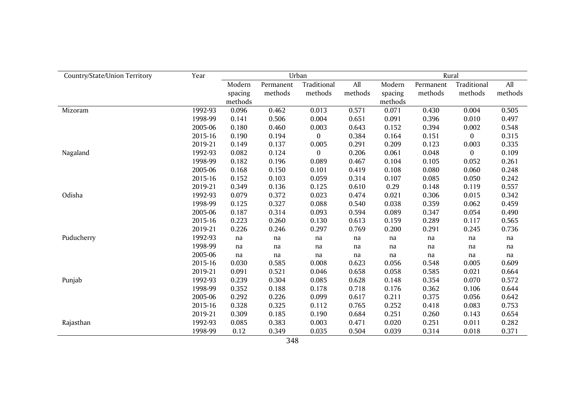| Country/State/Union Territory | Year    |         |           | Urban        |         | Rural   |           |              |         |  |
|-------------------------------|---------|---------|-----------|--------------|---------|---------|-----------|--------------|---------|--|
|                               |         | Modern  | Permanent | Traditional  | All     | Modern  | Permanent | Traditional  | All     |  |
|                               |         | spacing | methods   | methods      | methods | spacing | methods   | methods      | methods |  |
|                               |         | methods |           |              |         | methods |           |              |         |  |
| Mizoram                       | 1992-93 | 0.096   | 0.462     | 0.013        | 0.571   | 0.071   | 0.430     | 0.004        | 0.505   |  |
|                               | 1998-99 | 0.141   | 0.506     | 0.004        | 0.651   | 0.091   | 0.396     | 0.010        | 0.497   |  |
|                               | 2005-06 | 0.180   | 0.460     | 0.003        | 0.643   | 0.152   | 0.394     | 0.002        | 0.548   |  |
|                               | 2015-16 | 0.190   | 0.194     | $\mathbf{0}$ | 0.384   | 0.164   | 0.151     | $\mathbf{0}$ | 0.315   |  |
|                               | 2019-21 | 0.149   | 0.137     | 0.005        | 0.291   | 0.209   | 0.123     | 0.003        | 0.335   |  |
| Nagaland                      | 1992-93 | 0.082   | 0.124     | $\mathbf{0}$ | 0.206   | 0.061   | 0.048     | $\bf{0}$     | 0.109   |  |
|                               | 1998-99 | 0.182   | 0.196     | 0.089        | 0.467   | 0.104   | 0.105     | 0.052        | 0.261   |  |
|                               | 2005-06 | 0.168   | 0.150     | 0.101        | 0.419   | 0.108   | 0.080     | 0.060        | 0.248   |  |
|                               | 2015-16 | 0.152   | 0.103     | 0.059        | 0.314   | 0.107   | 0.085     | 0.050        | 0.242   |  |
|                               | 2019-21 | 0.349   | 0.136     | 0.125        | 0.610   | 0.29    | 0.148     | 0.119        | 0.557   |  |
| Odisha                        | 1992-93 | 0.079   | 0.372     | 0.023        | 0.474   | 0.021   | 0.306     | 0.015        | 0.342   |  |
|                               | 1998-99 | 0.125   | 0.327     | 0.088        | 0.540   | 0.038   | 0.359     | 0.062        | 0.459   |  |
|                               | 2005-06 | 0.187   | 0.314     | 0.093        | 0.594   | 0.089   | 0.347     | 0.054        | 0.490   |  |
|                               | 2015-16 | 0.223   | 0.260     | 0.130        | 0.613   | 0.159   | 0.289     | 0.117        | 0.565   |  |
|                               | 2019-21 | 0.226   | 0.246     | 0.297        | 0.769   | 0.200   | 0.291     | 0.245        | 0.736   |  |
| Puducherry                    | 1992-93 | na      | na        | na           | na      | na      | na        | na           | na      |  |
|                               | 1998-99 | na      | na        | na           | na      | na      | na        | na           | na      |  |
|                               | 2005-06 | na      | na        | na           | na      | na      | na        | na           | na      |  |
|                               | 2015-16 | 0.030   | 0.585     | 0.008        | 0.623   | 0.056   | 0.548     | 0.005        | 0.609   |  |
|                               | 2019-21 | 0.091   | 0.521     | 0.046        | 0.658   | 0.058   | 0.585     | 0.021        | 0.664   |  |
| Punjab                        | 1992-93 | 0.239   | 0.304     | 0.085        | 0.628   | 0.148   | 0.354     | 0.070        | 0.572   |  |
|                               | 1998-99 | 0.352   | 0.188     | 0.178        | 0.718   | 0.176   | 0.362     | 0.106        | 0.644   |  |
|                               | 2005-06 | 0.292   | 0.226     | 0.099        | 0.617   | 0.211   | 0.375     | 0.056        | 0.642   |  |
|                               | 2015-16 | 0.328   | 0.325     | 0.112        | 0.765   | 0.252   | 0.418     | 0.083        | 0.753   |  |
|                               | 2019-21 | 0.309   | 0.185     | 0.190        | 0.684   | 0.251   | 0.260     | 0.143        | 0.654   |  |
| Rajasthan                     | 1992-93 | 0.085   | 0.383     | 0.003        | 0.471   | 0.020   | 0.251     | 0.011        | 0.282   |  |
|                               | 1998-99 | 0.12    | 0.349     | 0.035        | 0.504   | 0.039   | 0.314     | 0.018        | 0.371   |  |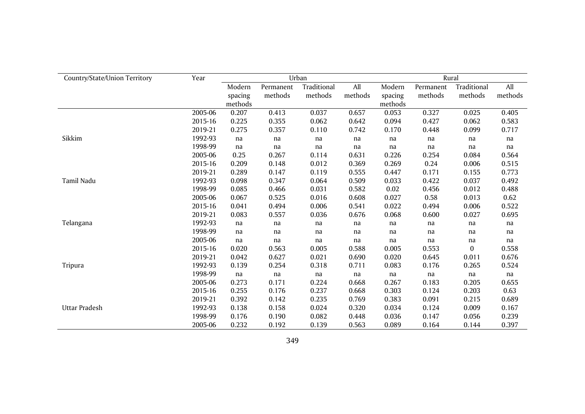| Country/State/Union Territory | Year    |         |           | Urban       |         | Rural   |           |             |         |  |  |
|-------------------------------|---------|---------|-----------|-------------|---------|---------|-----------|-------------|---------|--|--|
|                               |         | Modern  | Permanent | Traditional | All     | Modern  | Permanent | Traditional | All     |  |  |
|                               |         | spacing | methods   | methods     | methods | spacing | methods   | methods     | methods |  |  |
|                               |         | methods |           |             |         | methods |           |             |         |  |  |
|                               | 2005-06 | 0.207   | 0.413     | 0.037       | 0.657   | 0.053   | 0.327     | 0.025       | 0.405   |  |  |
|                               | 2015-16 | 0.225   | 0.355     | 0.062       | 0.642   | 0.094   | 0.427     | 0.062       | 0.583   |  |  |
|                               | 2019-21 | 0.275   | 0.357     | 0.110       | 0.742   | 0.170   | 0.448     | 0.099       | 0.717   |  |  |
| Sikkim                        | 1992-93 | na      | na        | na          | na      | na      | na        | na          | na      |  |  |
|                               | 1998-99 | na      | na        | na          | na      | na      | na        | na          | na      |  |  |
|                               | 2005-06 | 0.25    | 0.267     | 0.114       | 0.631   | 0.226   | 0.254     | 0.084       | 0.564   |  |  |
|                               | 2015-16 | 0.209   | 0.148     | 0.012       | 0.369   | 0.269   | 0.24      | 0.006       | 0.515   |  |  |
|                               | 2019-21 | 0.289   | 0.147     | 0.119       | 0.555   | 0.447   | 0.171     | 0.155       | 0.773   |  |  |
| Tamil Nadu                    | 1992-93 | 0.098   | 0.347     | 0.064       | 0.509   | 0.033   | 0.422     | 0.037       | 0.492   |  |  |
|                               | 1998-99 | 0.085   | 0.466     | 0.031       | 0.582   | 0.02    | 0.456     | 0.012       | 0.488   |  |  |
|                               | 2005-06 | 0.067   | 0.525     | 0.016       | 0.608   | 0.027   | 0.58      | 0.013       | 0.62    |  |  |
|                               | 2015-16 | 0.041   | 0.494     | 0.006       | 0.541   | 0.022   | 0.494     | 0.006       | 0.522   |  |  |
|                               | 2019-21 | 0.083   | 0.557     | 0.036       | 0.676   | 0.068   | 0.600     | 0.027       | 0.695   |  |  |
| Telangana                     | 1992-93 | na      | na        | na          | na      | na      | na        | na          | na      |  |  |
|                               | 1998-99 | na      | na        | na          | na      | na      | na        | na          | na      |  |  |
|                               | 2005-06 | na      | na        | na          | na      | na      | na        | na          | na      |  |  |
|                               | 2015-16 | 0.020   | 0.563     | 0.005       | 0.588   | 0.005   | 0.553     | $\bf{0}$    | 0.558   |  |  |
|                               | 2019-21 | 0.042   | 0.627     | 0.021       | 0.690   | 0.020   | 0.645     | 0.011       | 0.676   |  |  |
| Tripura                       | 1992-93 | 0.139   | 0.254     | 0.318       | 0.711   | 0.083   | 0.176     | 0.265       | 0.524   |  |  |
|                               | 1998-99 | na      | na        | na          | na      | na      | na        | na          | na      |  |  |
|                               | 2005-06 | 0.273   | 0.171     | 0.224       | 0.668   | 0.267   | 0.183     | 0.205       | 0.655   |  |  |
|                               | 2015-16 | 0.255   | 0.176     | 0.237       | 0.668   | 0.303   | 0.124     | 0.203       | 0.63    |  |  |
|                               | 2019-21 | 0.392   | 0.142     | 0.235       | 0.769   | 0.383   | 0.091     | 0.215       | 0.689   |  |  |
| Uttar Pradesh                 | 1992-93 | 0.138   | 0.158     | 0.024       | 0.320   | 0.034   | 0.124     | 0.009       | 0.167   |  |  |
|                               | 1998-99 | 0.176   | 0.190     | 0.082       | 0.448   | 0.036   | 0.147     | 0.056       | 0.239   |  |  |
|                               | 2005-06 | 0.232   | 0.192     | 0.139       | 0.563   | 0.089   | 0.164     | 0.144       | 0.397   |  |  |